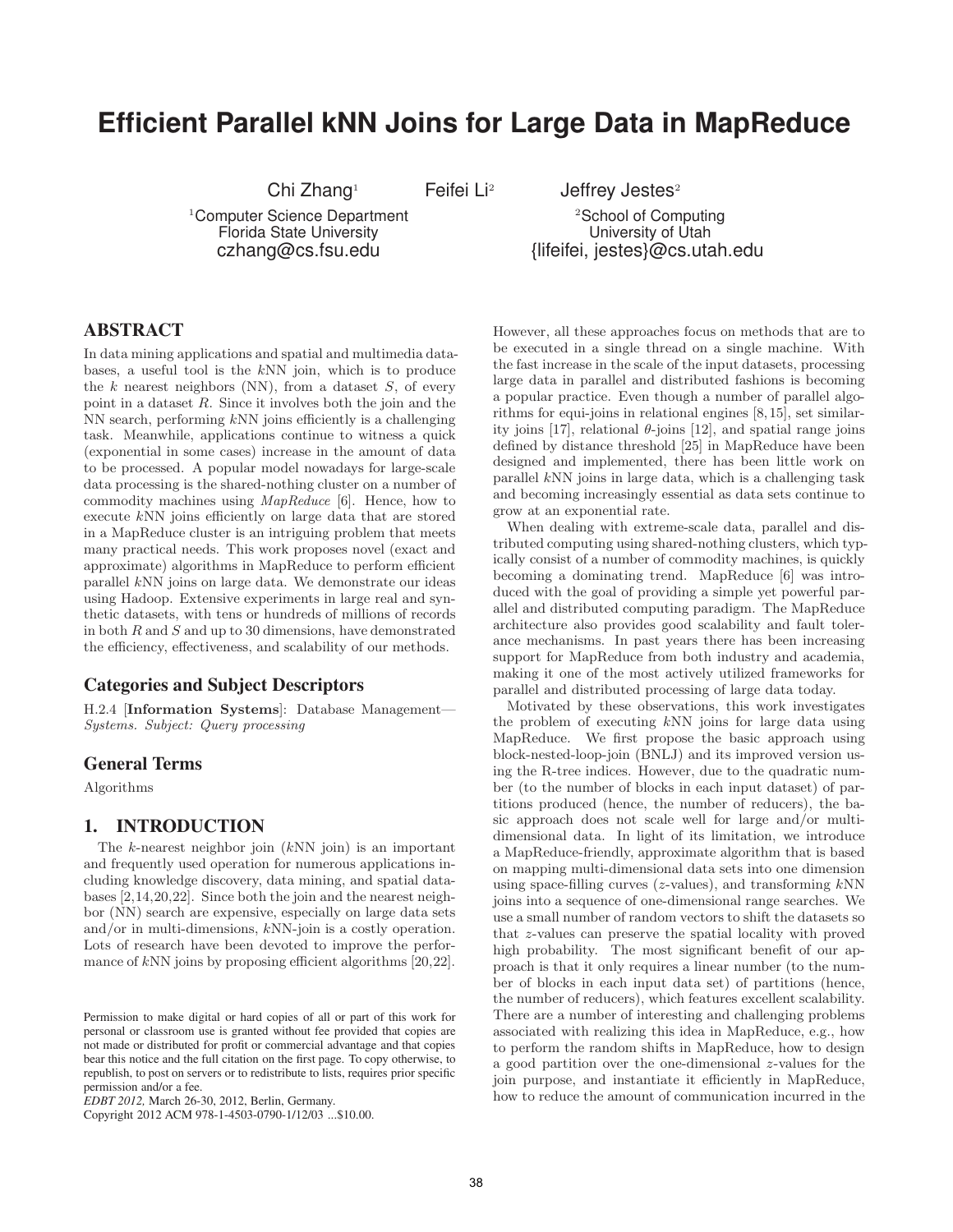# **Efficient Parallel kNN Joins for Large Data in MapReduce**

Chi Zhang<sup>1</sup> Feifei Li<sup>2</sup> Jeffrey Jestes<sup>2</sup>

<sup>1</sup>Computer Science Department Florida State University czhang@cs.fsu.edu

<sup>2</sup>School of Computing University of Utah {lifeifei, jestes}@cs.utah.edu

# **ABSTRACT**

In data mining applications and spatial and multimedia databases, a useful tool is the  $kNN$  join, which is to produce the  $k$  nearest neighbors (NN), from a dataset  $S$ , of every point in a dataset R. Since it involves both the join and the  $NN$  search, performing  $kNN$  joins efficiently is a challenging task. Meanwhile, applications continue to witness a quick (exponential in some cases) increase in the amount of data to be processed. A popular model nowadays for large-scale data processing is the shared-nothing cluster on a number of commodity machines using *MapReduce* [6]. Hence, how to execute kNN joins efficiently on large data that are stored in a MapReduce cluster is an intriguing problem that meets many practical needs. This work proposes novel (exact and approximate) algorithms in MapReduce to perform efficient parallel kNN joins on large data. We demonstrate our ideas using Hadoop. Extensive experiments in large real and synthetic datasets, with tens or hundreds of millions of records in both  $R$  and  $S$  and up to 30 dimensions, have demonstrated the efficiency, effectiveness, and scalability of our methods.

# **Categories and Subject Descriptors**

H.2.4 [Information Systems]: Database Management— *Systems. Subject: Query processing*

# **General Terms**

Algorithms

# **1. INTRODUCTION**

The  $k$ -nearest neighbor join  $(kNN)$  join) is an important and frequently used operation for numerous applications including knowledge discovery, data mining, and spatial databases [2,14,20,22]. Since both the join and the nearest neighbor (NN) search are expensive, especially on large data sets and/or in multi-dimensions, kNN-join is a costly operation. Lots of research have been devoted to improve the performance of  $kNN$  joins by proposing efficient algorithms [20,22].

Copyright 2012 ACM 978-1-4503-0790-1/12/03 ...\$10.00.

However, all these approaches focus on methods that are to be executed in a single thread on a single machine. With the fast increase in the scale of the input datasets, processing large data in parallel and distributed fashions is becoming a popular practice. Even though a number of parallel algorithms for equi-joins in relational engines [8, 15], set similarity joins [17], relational  $\theta$ -joins [12], and spatial range joins defined by distance threshold [25] in MapReduce have been designed and implemented, there has been little work on parallel kNN joins in large data, which is a challenging task and becoming increasingly essential as data sets continue to grow at an exponential rate.

When dealing with extreme-scale data, parallel and distributed computing using shared-nothing clusters, which typically consist of a number of commodity machines, is quickly becoming a dominating trend. MapReduce [6] was introduced with the goal of providing a simple yet powerful parallel and distributed computing paradigm. The MapReduce architecture also provides good scalability and fault tolerance mechanisms. In past years there has been increasing support for MapReduce from both industry and academia, making it one of the most actively utilized frameworks for parallel and distributed processing of large data today.

Motivated by these observations, this work investigates the problem of executing kNN joins for large data using MapReduce. We first propose the basic approach using block-nested-loop-join (BNLJ) and its improved version using the R-tree indices. However, due to the quadratic number (to the number of blocks in each input dataset) of partitions produced (hence, the number of reducers), the basic approach does not scale well for large and/or multidimensional data. In light of its limitation, we introduce a MapReduce-friendly, approximate algorithm that is based on mapping multi-dimensional data sets into one dimension using space-filling curves ( $z$ -values), and transforming  $kNN$ joins into a sequence of one-dimensional range searches. We use a small number of random vectors to shift the datasets so that z-values can preserve the spatial locality with proved high probability. The most significant benefit of our approach is that it only requires a linear number (to the number of blocks in each input data set) of partitions (hence, the number of reducers), which features excellent scalability. There are a number of interesting and challenging problems associated with realizing this idea in MapReduce, e.g., how to perform the random shifts in MapReduce, how to design a good partition over the one-dimensional z-values for the join purpose, and instantiate it efficiently in MapReduce, how to reduce the amount of communication incurred in the

Permission to make digital or hard copies of all or part of this work for personal or classroom use is granted without fee provided that copies are not made or distributed for profit or commercial advantage and that copies bear this notice and the full citation on the first page. To copy otherwise, to republish, to post on servers or to redistribute to lists, requires prior specific permission and/or a fee.

*EDBT 2012,* March 26-30, 2012, Berlin, Germany.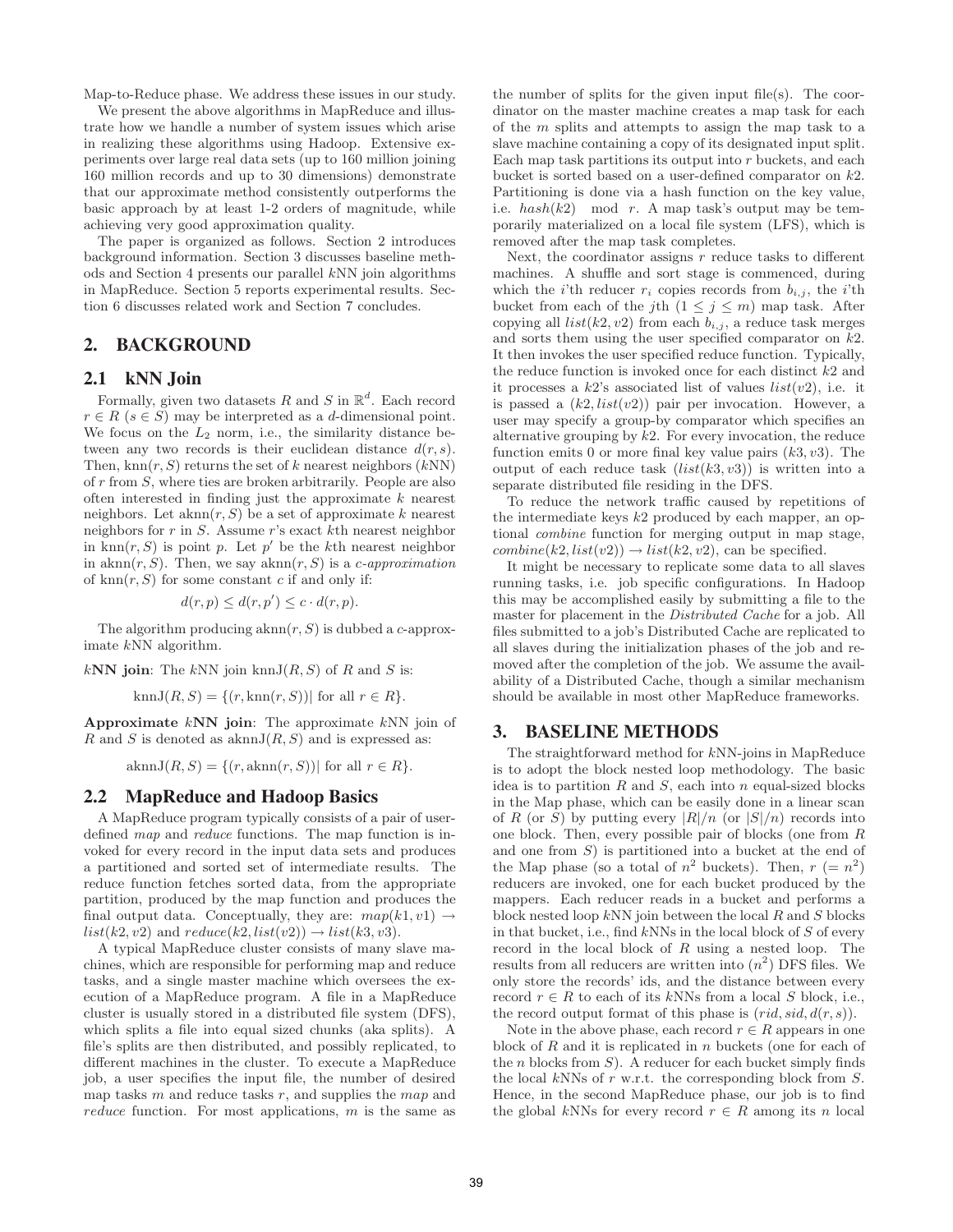Map-to-Reduce phase. We address these issues in our study.

We present the above algorithms in MapReduce and illustrate how we handle a number of system issues which arise in realizing these algorithms using Hadoop. Extensive experiments over large real data sets (up to 160 million joining 160 million records and up to 30 dimensions) demonstrate that our approximate method consistently outperforms the basic approach by at least 1-2 orders of magnitude, while achieving very good approximation quality.

The paper is organized as follows. Section 2 introduces background information. Section 3 discusses baseline methods and Section 4 presents our parallel kNN join algorithms in MapReduce. Section 5 reports experimental results. Section 6 discusses related work and Section 7 concludes.

# **2. BACKGROUND**

# **2.1 kNN Join**

Formally, given two datasets R and S in  $\mathbb{R}^d$ . Each record  $r \in R$  ( $s \in S$ ) may be interpreted as a d-dimensional point. We focus on the  $L_2$  norm, i.e., the similarity distance between any two records is their euclidean distance  $d(r, s)$ . Then,  $\text{km}(r, S)$  returns the set of k nearest neighbors  $(kNN)$ of r from S, where ties are broken arbitrarily. People are also often interested in finding just the approximate  $k$  nearest neighbors. Let  $aknn(r, S)$  be a set of approximate k nearest neighbors for r in S. Assume r's exact kth nearest neighbor in  $\text{km}(r, S)$  is point p. Let p' be the kth nearest neighbor in  $aknn(r, S)$ . Then, we say  $aknn(r, S)$  is a *c-approximation* of  $\text{km}(r, S)$  for some constant c if and only if:

 $d(r, p) \leq d(r, p') \leq c \cdot d(r, p).$ 

The algorithm producing  $\mathrm{aknn}(r, S)$  is dubbed a c-approximate kNN algorithm.

kNN join: The kNN join knn  $J(R, S)$  of R and S is:

$$
knnJ(R, S) = \{(r, knn(r, S)) | for all r \in R\}.
$$

Approximate  $kNN$  join: The approximate  $kNN$  join of R and S is denoted as  $aknnJ(R, S)$  and is expressed as:

 $aknnJ(R, S) = \{(r, aknn(r, S)) | for all r \in R\}.$ 

# **2.2 MapReduce and Hadoop Basics**

A MapReduce program typically consists of a pair of userdefined *map* and *reduce* functions. The map function is invoked for every record in the input data sets and produces a partitioned and sorted set of intermediate results. The reduce function fetches sorted data, from the appropriate partition, produced by the map function and produces the final output data. Conceptually, they are:  $map(k1, v1) \rightarrow$  $list(k2, v2)$  and  $reduce(k2, list(v2)) \rightarrow list(k3, v3)$ .

A typical MapReduce cluster consists of many slave machines, which are responsible for performing map and reduce tasks, and a single master machine which oversees the execution of a MapReduce program. A file in a MapReduce cluster is usually stored in a distributed file system (DFS), which splits a file into equal sized chunks (aka splits). A file's splits are then distributed, and possibly replicated, to different machines in the cluster. To execute a MapReduce job, a user specifies the input file, the number of desired map tasks  $m$  and reduce tasks  $r$ , and supplies the map and *reduce* function. For most applications,  $m$  is the same as

the number of splits for the given input file(s). The coordinator on the master machine creates a map task for each of the m splits and attempts to assign the map task to a slave machine containing a copy of its designated input split. Each map task partitions its output into  $r$  buckets, and each bucket is sorted based on a user-defined comparator on k2. Partitioning is done via a hash function on the key value, i.e.  $hash(k2) \mod r$ . A map task's output may be temporarily materialized on a local file system (LFS), which is removed after the map task completes.

Next, the coordinator assigns  $r$  reduce tasks to different machines. A shuffle and sort stage is commenced, during which the *i*'th reducer  $r_i$  copies records from  $b_{i,j}$ , the *i*'th bucket from each of the jth  $(1 \leq j \leq m)$  map task. After copying all  $list(k2, v2)$  from each  $b_{i,j}$ , a reduce task merges and sorts them using the user specified comparator on k2. It then invokes the user specified reduce function. Typically, the reduce function is invoked once for each distinct  $k2$  and it processes a  $k2$ 's associated list of values  $list(v2)$ , i.e. it is passed a  $(k2, list(v2))$  pair per invocation. However, a user may specify a group-by comparator which specifies an alternative grouping by  $k2$ . For every invocation, the reduce function emits 0 or more final key value pairs  $(k3, v3)$ . The output of each reduce task  $(list(k3, v3))$  is written into a separate distributed file residing in the DFS.

To reduce the network traffic caused by repetitions of the intermediate keys  $k2$  produced by each mapper, an optional *combine* function for merging output in map stage,  $combine(k2, list(v2)) \rightarrow list(k2, v2)$ , can be specified.

It might be necessary to replicate some data to all slaves running tasks, i.e. job specific configurations. In Hadoop this may be accomplished easily by submitting a file to the master for placement in the *Distributed Cache* for a job. All files submitted to a job's Distributed Cache are replicated to all slaves during the initialization phases of the job and removed after the completion of the job. We assume the availability of a Distributed Cache, though a similar mechanism should be available in most other MapReduce frameworks.

#### **3. BASELINE METHODS**

The straightforward method for kNN-joins in MapReduce is to adopt the block nested loop methodology. The basic idea is to partition  $R$  and  $S$ , each into  $n$  equal-sized blocks in the Map phase, which can be easily done in a linear scan of R (or S) by putting every  $|R|/n$  (or  $|S|/n$ ) records into one block. Then, every possible pair of blocks (one from R and one from  $S$ ) is partitioned into a bucket at the end of the Map phase (so a total of  $n^2$  buckets). Then,  $r (= n^2)$ reducers are invoked, one for each bucket produced by the mappers. Each reducer reads in a bucket and performs a block nested loop  $kNN$  join between the local  $R$  and  $S$  blocks in that bucket, i.e., find  $kNNs$  in the local block of  $S$  of every record in the local block of  $R$  using a nested loop. The results from all reducers are written into  $(n^2)$  DFS files. We only store the records' ids, and the distance between every record  $r \in R$  to each of its kNNs from a local S block, i.e., the record output format of this phase is  $(\text{rid}, \text{sid}, d(r, s))$ .

Note in the above phase, each record  $r \in R$  appears in one block of R and it is replicated in n buckets (one for each of the *n* blocks from  $S$ ). A reducer for each bucket simply finds the local kNNs of r w.r.t. the corresponding block from S. Hence, in the second MapReduce phase, our job is to find the global kNNs for every record  $r \in R$  among its n local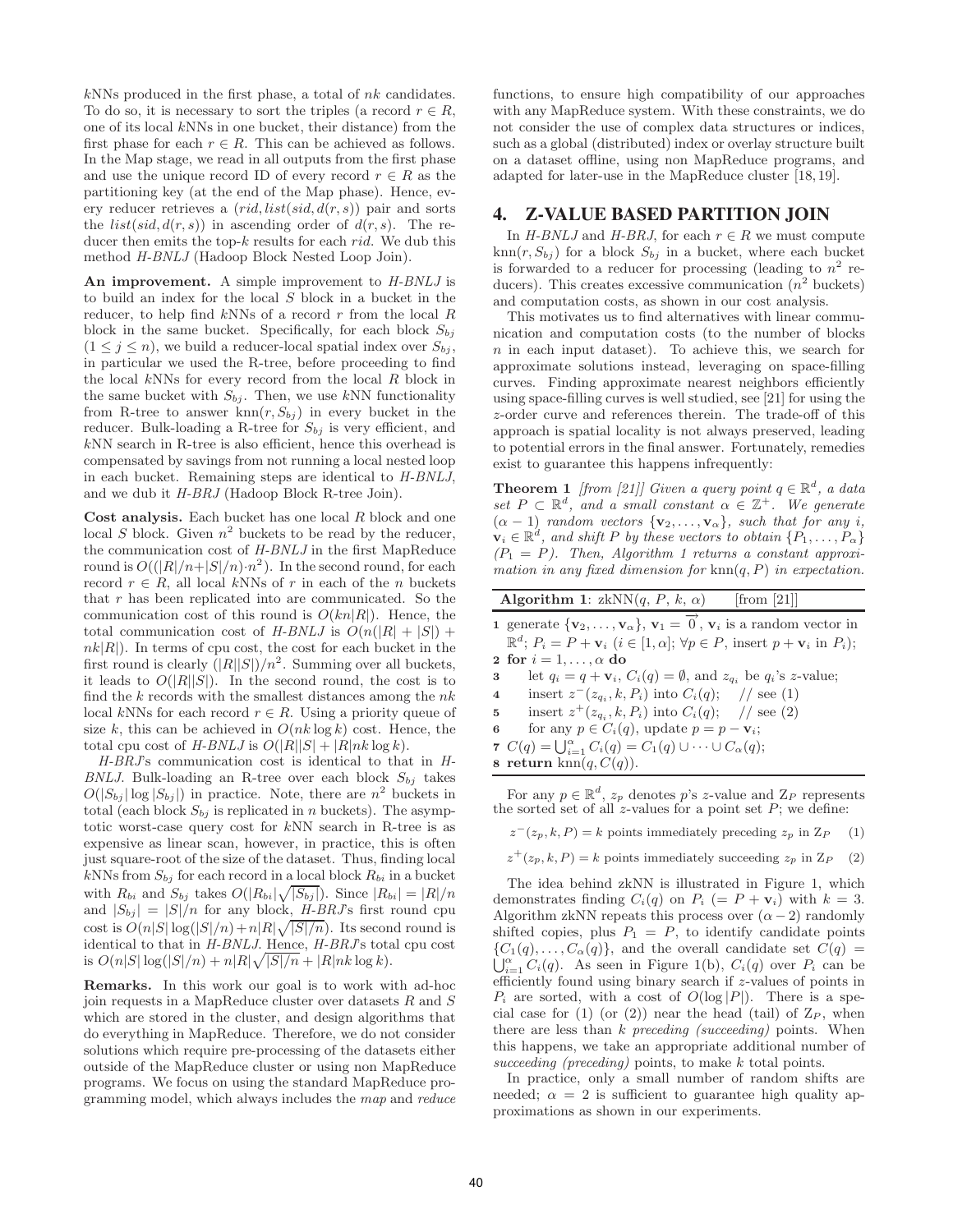$k$ NNs produced in the first phase, a total of  $nk$  candidates. To do so, it is necessary to sort the triples (a record  $r \in R$ , one of its local kNNs in one bucket, their distance) from the first phase for each  $r \in R$ . This can be achieved as follows. In the Map stage, we read in all outputs from the first phase and use the unique record ID of every record  $r \in R$  as the partitioning key (at the end of the Map phase). Hence, every reducer retrieves a  $(\text{rid}, \text{list}(\text{sid}, d(r, s))$  pair and sorts the *list(sid, d(r, s))* in ascending order of  $d(r, s)$ . The reducer then emits the top- $k$  results for each rid. We dub this method *H-BNLJ* (Hadoop Block Nested Loop Join).

An improvement. A simple improvement to *H-BNLJ* is to build an index for the local S block in a bucket in the reducer, to help find  $k$ NNs of a record  $r$  from the local  $R$ block in the same bucket. Specifically, for each block  $S_{bi}$  $(1 \leq j \leq n)$ , we build a reducer-local spatial index over  $S_{bi}$ , in particular we used the R-tree, before proceeding to find the local  $k$ NNs for every record from the local  $R$  block in the same bucket with  $S_{bj}$ . Then, we use kNN functionality from R-tree to answer  $\text{km}(r, S_{bi})$  in every bucket in the reducer. Bulk-loading a R-tree for  $S_{bj}$  is very efficient, and kNN search in R-tree is also efficient, hence this overhead is compensated by savings from not running a local nested loop in each bucket. Remaining steps are identical to *H-BNLJ*, and we dub it *H-BRJ* (Hadoop Block R-tree Join).

Cost analysis. Each bucket has one local  $R$  block and one local S block. Given  $n^2$  buckets to be read by the reducer, the communication cost of *H-BNLJ* in the first MapReduce round is  $O((|R|/n+|S|/n) \cdot n^2)$ . In the second round, for each record  $r \in R$ , all local kNNs of r in each of the n buckets that  $r$  has been replicated into are communicated. So the communication cost of this round is  $O(kn|R|)$ . Hence, the total communication cost of *H-BNLJ* is  $O(n(|R| + |S|) +$  $nk|R|$ . In terms of cpu cost, the cost for each bucket in the first round is clearly  $(|R||S|)/n^2$ . Summing over all buckets, it leads to  $O(|R||S|)$ . In the second round, the cost is to find the  $k$  records with the smallest distances among the  $nk$ local kNNs for each record  $r \in R$ . Using a priority queue of size k, this can be achieved in  $O(nk \log k)$  cost. Hence, the total cpu cost of *H-BNLJ* is  $O(|R||S| + |R|nk \log k)$ .

*H-BRJ*'s communication cost is identical to that in *H-BNLJ*. Bulk-loading an R-tree over each block  $S_{bj}$  takes  $O(|S_{bj}| \log |S_{bj}|)$  in practice. Note, there are  $n^2$  buckets in total (each block  $S_{bj}$  is replicated in n buckets). The asymptotic worst-case query cost for kNN search in R-tree is as expensive as linear scan, however, in practice, this is often just square-root of the size of the dataset. Thus, finding local  $k$ NNs from  $S_{bj}$  for each record in a local block  $R_{bi}$  in a bucket with  $R_{bi}$  and  $S_{bj}$  takes  $O(|R_{bi}|\sqrt{|S_{bj}|})$ . Since  $|R_{bi}| = |R|/n$ and  $|S_{bj}| = |S|/n$  for any block, *H-BRJ*'s first round cpu cost is  $O(n|S| \log(|S|/n) + n|R| \sqrt{|S|/n})$ . Its second round is identical to that in *H-BNLJ*. Hence, *H-BRJ*'s total cpu cost is  $O(n|S| \log(|S|/n) + n|R| \sqrt{|S|/n} + |R|nk \log k)$ .

Remarks. In this work our goal is to work with ad-hoc join requests in a MapReduce cluster over datasets  $R$  and  $S$ which are stored in the cluster, and design algorithms that do everything in MapReduce. Therefore, we do not consider solutions which require pre-processing of the datasets either outside of the MapReduce cluster or using non MapReduce programs. We focus on using the standard MapReduce programming model, which always includes the *map* and *reduce* functions, to ensure high compatibility of our approaches with any MapReduce system. With these constraints, we do not consider the use of complex data structures or indices, such as a global (distributed) index or overlay structure built on a dataset offline, using non MapReduce programs, and adapted for later-use in the MapReduce cluster [18, 19].

#### **4. Z-VALUE BASED PARTITION JOIN**

In  $H-BNLJ$  and  $H-BRJ$ , for each  $r \in R$  we must compute  $\text{km}(r, S_{bj})$  for a block  $S_{bj}$  in a bucket, where each bucket is forwarded to a reducer for processing (leading to  $n^2$  reducers). This creates excessive communication  $(n^2)$  buckets) and computation costs, as shown in our cost analysis.

This motivates us to find alternatives with linear communication and computation costs (to the number of blocks  $n$  in each input dataset). To achieve this, we search for approximate solutions instead, leveraging on space-filling curves. Finding approximate nearest neighbors efficiently using space-filling curves is well studied, see [21] for using the z-order curve and references therein. The trade-off of this approach is spatial locality is not always preserved, leading to potential errors in the final answer. Fortunately, remedies exist to guarantee this happens infrequently:

**Theorem 1** [from [21]] Given a query point  $q \in \mathbb{R}^d$ , a data set  $P \subset \mathbb{R}^d$ , and a small constant  $\alpha \in \mathbb{Z}^+$ . We generate  $(\alpha - 1)$  *random vectors*  $\{v_2, \ldots, v_{\alpha}\}\$ , *such that for any i*,  $\mathbf{v}_i \in \mathbb{R}^d$ , and shift P by these vectors to obtain  $\{P_1, \ldots, P_\alpha\}$  $(P_1 = P)$ . Then, Algorithm 1 returns a constant approxi*mation in any fixed dimension for* knn(q, P) *in expectation.*

|              | <b>Algorithm 1:</b> zkNN $(q, P, k, \alpha)$ [from [21]]                                                                              |
|--------------|---------------------------------------------------------------------------------------------------------------------------------------|
|              | 1 generate ${\mathbf v}_2, \ldots, {\mathbf v}_\alpha$ , ${\mathbf v}_1 = \overrightarrow{0}$ , ${\mathbf v}_i$ is a random vector in |
|              | $\mathbb{R}^d$ ; $P_i = P + \mathbf{v}_i$ $(i \in [1, \alpha]; \forall p \in P$ , insert $p + \mathbf{v}_i$ in $P_i$ );               |
|              | 2 for $i = 1, \ldots, \alpha$ do                                                                                                      |
| $\mathbf{3}$ | let $q_i = q + \mathbf{v}_i$ , $C_i(q) = \emptyset$ , and $z_{q_i}$ be $q_i$ 's z-value;                                              |
|              | 4 insert $z^-(z_{q_i}, k, P_i)$ into $C_i(q)$ ; // see (1)                                                                            |
| 5            | insert $z^+(z_q, k, P_i)$ into $C_i(q)$ ; // see (2)                                                                                  |
| 6            | for any $p \in C_i(q)$ , update $p = p - \mathbf{v}_i$ ;                                                                              |
|              |                                                                                                                                       |

$$
\mathbf{7} \ \ C(q) = \bigcup_{i=1}^{\alpha} C_i(q) = C_1(q) \cup \cdots \cup C_{\alpha}(q);
$$

8 return knn $(q, C(q))$ .

For any  $p \in \mathbb{R}^d$ ,  $z_p$  denotes p's z-value and  $Z_P$  represents the sorted set of all z-values for a point set  $P$ ; we define:

 $z^{-}(z_p, k, P) = k$  points immediately preceding  $z_p$  in  $\mathbb{Z}_P$  (1)

 $z^+(z_p, k, P) = k$  points immediately succeeding  $z_p$  in  $\mathbb{Z}_P$  (2)

The idea behind zkNN is illustrated in Figure 1, which demonstrates finding  $C_i(q)$  on  $P_i (= P + \mathbf{v}_i)$  with  $k = 3$ . Algorithm zkNN repeats this process over  $(\alpha - 2)$  randomly shifted copies, plus  $P_1 = P$ , to identify candidate points  ${C_1(q), \ldots, C_\alpha(q)}$ , and the overall candidate set  $C(q)$  =  $\bigcup_{i=1}^{\infty} C_i(q)$ . As seen in Figure 1(b),  $C_i(q)$  over  $P_i$  can be efficiently found using binary search if z-values of points in  $P_i$  are sorted, with a cost of  $O(\log |P|)$ . There is a special case for (1) (or (2)) near the head (tail) of  $\mathbb{Z}_P$ , when there are less than k *preceding (succeeding)* points. When this happens, we take an appropriate additional number of *succeeding (preceding)* points, to make k total points.

In practice, only a small number of random shifts are needed;  $\alpha = 2$  is sufficient to guarantee high quality approximations as shown in our experiments.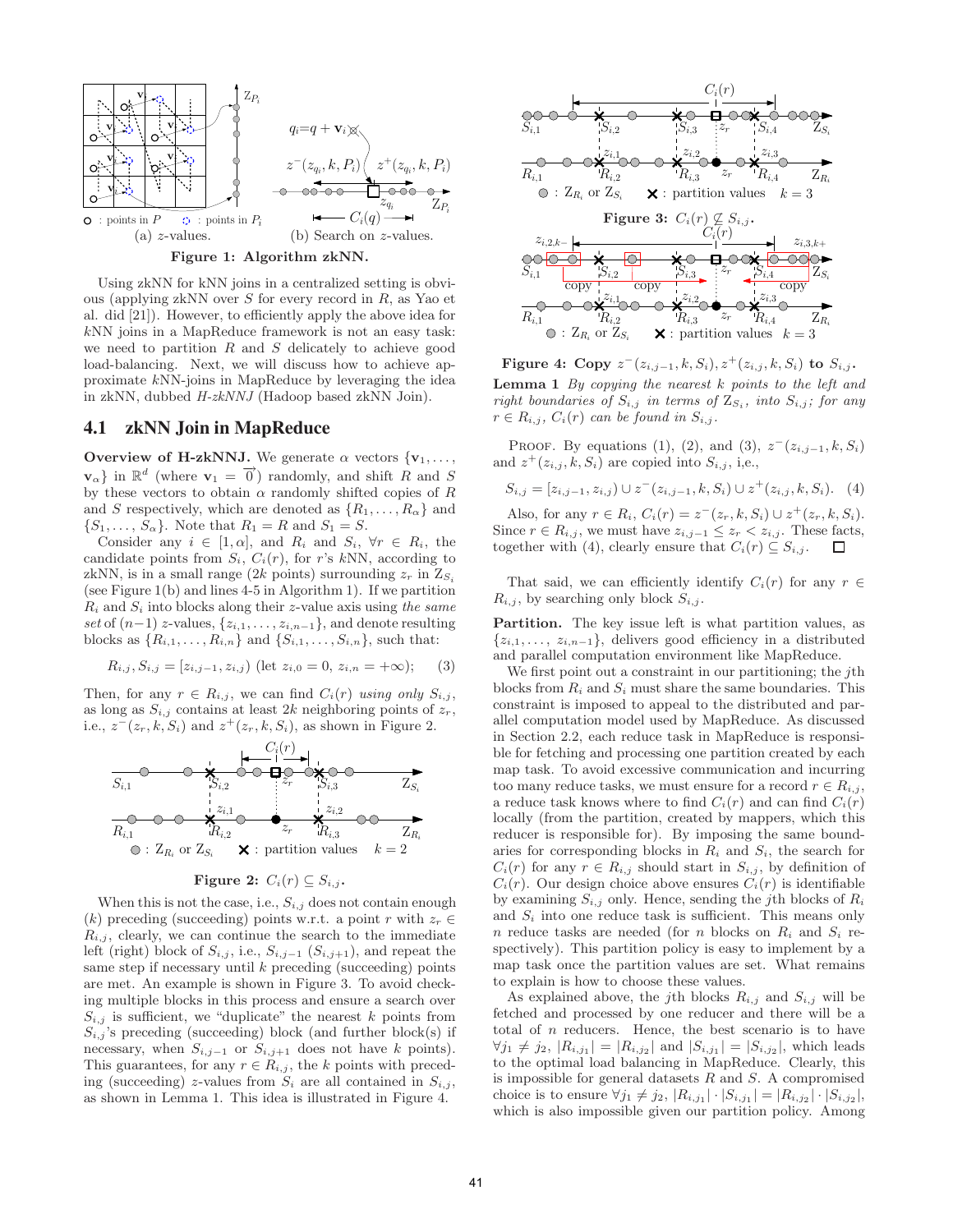

Using zkNN for kNN joins in a centralized setting is obvious (applying zkNN over  $S$  for every record in  $R$ , as Yao et al. did [21]). However, to efficiently apply the above idea for kNN joins in a MapReduce framework is not an easy task: we need to partition  $R$  and  $S$  delicately to achieve good load-balancing. Next, we will discuss how to achieve approximate kNN-joins in MapReduce by leveraging the idea in zkNN, dubbed *H-zkNNJ* (Hadoop based zkNN Join).

# **4.1 zkNN Join in MapReduce**

Overview of H-zkNNJ. We generate  $\alpha$  vectors  $\{v_1, \ldots,$  $\mathbf{v}_{\alpha}$  in  $\mathbb{R}^{d}$  (where  $\mathbf{v}_{1} = \overrightarrow{0}$ ) randomly, and shift R and S by these vectors to obtain  $\alpha$  randomly shifted copies of R and S respectively, which are denoted as  $\{R_1, \ldots, R_\alpha\}$  and  $\{S_1, \ldots, S_\alpha\}$ . Note that  $R_1 = R$  and  $S_1 = S$ .

Consider any  $i \in [1, \alpha]$ , and  $R_i$  and  $S_i$ ,  $\forall r \in R_i$ , the candidate points from  $S_i$ ,  $C_i(r)$ , for r's kNN, according to zkNN, is in a small range (2k points) surrounding  $z_r$  in  $Z_{S_i}$ (see Figure 1(b) and lines 4-5 in Algorithm 1). If we partition  $R_i$  and  $S_i$  into blocks along their z-value axis using the same *set* of  $(n-1)$  z-values,  $\{z_{i,1}, \ldots, z_{i,n-1}\}$ , and denote resulting blocks as  $\{R_{i,1},\ldots,R_{i,n}\}\$  and  $\{S_{i,1},\ldots,S_{i,n}\}\$ , such that:

$$
R_{i,j}, S_{i,j} = [z_{i,j-1}, z_{i,j}) \text{ (let } z_{i,0} = 0, z_{i,n} = +\infty); \quad (3)
$$

Then, for any  $r \in R_{i,j}$ , we can find  $C_i(r)$  *using only*  $S_{i,j}$ , as long as  $S_{i,j}$  contains at least  $2k$  neighboring points of  $z_r$ , i.e.,  $z^-(z_r, k, S_i)$  and  $z^+(z_r, k, S_i)$ , as shown in Figure 2.



Figure 2:  $C_i(r) \subseteq S_{i,j}$ .

When this is not the case, i.e.,  $S_{i,j}$  does not contain enough (k) preceding (succeeding) points w.r.t. a point r with  $z_r \in$  $R_{i,j}$ , clearly, we can continue the search to the immediate left (right) block of  $S_{i,j}$ , i.e.,  $S_{i,j-1}$  ( $S_{i,j+1}$ ), and repeat the same step if necessary until  $k$  preceding (succeeding) points are met. An example is shown in Figure 3. To avoid checking multiple blocks in this process and ensure a search over  $S_{i,j}$  is sufficient, we "duplicate" the nearest k points from  $S_{i,j}$ 's preceding (succeeding) block (and further block(s) if necessary, when  $S_{i,j-1}$  or  $S_{i,j+1}$  does not have k points). This guarantees, for any  $r \in R_{i,j}$ , the k points with preceding (succeeding) z-values from  $S_i$  are all contained in  $S_{i,j}$ , as shown in Lemma 1. This idea is illustrated in Figure 4.



Figure 4: Copy  $z^-(z_{i,j-1}, k, S_i)$ ,  $z^+(z_{i,j}, k, S_i)$  to  $S_{i,j}$ . Lemma 1 *By copying the nearest* k *points to the left and right boundaries of*  $S_{i,j}$  *in terms of*  $\overline{Z}_{S_i}$ *, into*  $S_{i,j}$ *; for any*  $r \in R_{i,j}$ ,  $C_i(r)$  *can be found in*  $S_{i,j}$ *.* 

PROOF. By equations (1), (2), and (3),  $z^-(z_{i,j-1}, k, S_i)$ and  $z^+(z_{i,j}, k, S_i)$  are copied into  $S_{i,j}$ , i,e.,

$$
S_{i,j} = [z_{i,j-1}, z_{i,j}) \cup z^-(z_{i,j-1}, k, S_i) \cup z^+(z_{i,j}, k, S_i). \tag{4}
$$

Also, for any  $r \in R_i$ ,  $C_i(r) = z^-(z_r, k, S_i) \cup z^+(z_r, k, S_i)$ . Since  $r \in R_{i,j}$ , we must have  $z_{i,j-1} \leq z_r < z_{i,j}$ . These facts, together with (4), clearly ensure that  $C_i(r) \subseteq S_{i,j}$ .  $\Box$ 

That said, we can efficiently identify  $C_i(r)$  for any  $r \in$  $R_{i,j}$ , by searching only block  $S_{i,j}$ .

Partition. The key issue left is what partition values, as  $\{z_{i,1},\ldots,z_{i,n-1}\},$  delivers good efficiency in a distributed and parallel computation environment like MapReduce.

We first point out a constraint in our partitioning; the *j*th blocks from  $R_i$  and  $S_i$  must share the same boundaries. This constraint is imposed to appeal to the distributed and parallel computation model used by MapReduce. As discussed in Section 2.2, each reduce task in MapReduce is responsible for fetching and processing one partition created by each map task. To avoid excessive communication and incurring too many reduce tasks, we must ensure for a record  $r \in R_{i,j}$ , a reduce task knows where to find  $C_i(r)$  and can find  $C_i(r)$ locally (from the partition, created by mappers, which this reducer is responsible for). By imposing the same boundaries for corresponding blocks in  $R_i$  and  $S_i$ , the search for  $C_i(r)$  for any  $r \in R_{i,j}$  should start in  $S_{i,j}$ , by definition of  $C_i(r)$ . Our design choice above ensures  $C_i(r)$  is identifiable by examining  $S_{i,j}$  only. Hence, sending the jth blocks of  $R_i$ and  $S_i$  into one reduce task is sufficient. This means only n reduce tasks are needed (for n blocks on  $R_i$  and  $S_i$  respectively). This partition policy is easy to implement by a map task once the partition values are set. What remains to explain is how to choose these values.

As explained above, the j<sup>th</sup> blocks  $R_{i,j}$  and  $S_{i,j}$  will be fetched and processed by one reducer and there will be a total of n reducers. Hence, the best scenario is to have  $\forall j_1 \neq j_2, |R_{i,j_1}| = |R_{i,j_2}|$  and  $|S_{i,j_1}| = |S_{i,j_2}|$ , which leads to the optimal load balancing in MapReduce. Clearly, this is impossible for general datasets  $R$  and  $S$ . A compromised choice is to ensure  $\forall j_1 \neq j_2, |R_{i,j_1}| \cdot |S_{i,j_1}| = |R_{i,j_2}| \cdot |S_{i,j_2}|,$ which is also impossible given our partition policy. Among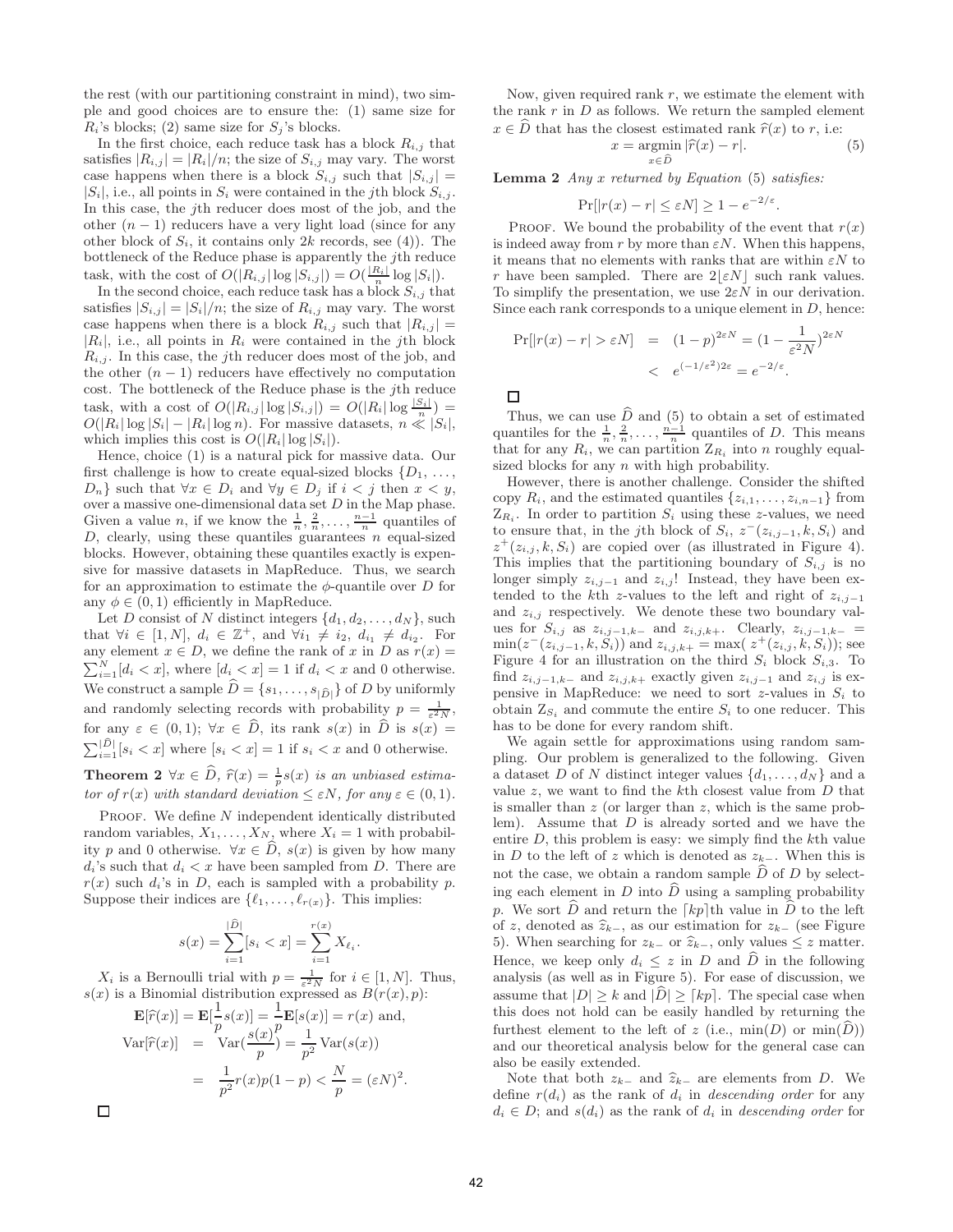the rest (with our partitioning constraint in mind), two simple and good choices are to ensure the: (1) same size for  $R_i$ 's blocks; (2) same size for  $S_j$ 's blocks.

In the first choice, each reduce task has a block  $R_{i,j}$  that satisfies  $|R_{i,j}| = |R_i|/n$ ; the size of  $S_{i,j}$  may vary. The worst case happens when there is a block  $S_{i,j}$  such that  $|S_{i,j}| =$  $|S_i|$ , i.e., all points in  $S_i$  were contained in the *j*th block  $S_{i,i}$ . In this case, the jth reducer does most of the job, and the other  $(n - 1)$  reducers have a very light load (since for any other block of  $S_i$ , it contains only 2k records, see (4)). The bottleneck of the Reduce phase is apparently the jth reduce task, with the cost of  $O(|R_{i,j}| \log |S_{i,j}|) = O(\frac{|R_i|}{n} \log |S_i|).$ 

In the second choice, each reduce task has a block  $S_{i,j}$  that satisfies  $|S_{i,j}| = |S_i|/n$ ; the size of  $R_{i,j}$  may vary. The worst case happens when there is a block  $R_{i,j}$  such that  $|R_{i,j}| =$  $|R_i|$ , i.e., all points in  $R_i$  were contained in the jth block  $R_{i,j}$ . In this case, the jth reducer does most of the job, and the other  $(n - 1)$  reducers have effectively no computation cost. The bottleneck of the Reduce phase is the jth reduce task, with a cost of  $O(|R_{i,j}| \log |S_{i,j}|) = O(|R_i| \log \frac{|S_i|}{n}) =$  $O(|R_i| \log |S_i| - |R_i| \log n)$ . For massive datasets,  $n \ll |S_i|$ , which implies this cost is  $O(|R_i| \log |S_i|)$ .

Hence, choice (1) is a natural pick for massive data. Our first challenge is how to create equal-sized blocks  $\{D_1, \ldots,$  $D_n$  such that  $\forall x \in D_i$  and  $\forall y \in D_j$  if  $i < j$  then  $x < y$ , over a massive one-dimensional data set  $D$  in the Map phase. Given a value *n*, if we know the  $\frac{1}{n}, \frac{2}{n}, \ldots, \frac{n-1}{n}$  quantiles of D, clearly, using these quantiles guarantees  $n$  equal-sized blocks. However, obtaining these quantiles exactly is expensive for massive datasets in MapReduce. Thus, we search for an approximation to estimate the  $\phi$ -quantile over D for any  $\phi \in (0, 1)$  efficiently in MapReduce.

Let D consist of N distinct integers  $\{d_1, d_2, \ldots, d_N\}$ , such that  $\forall i \in [1, N], d_i \in \mathbb{Z}^+,$  and  $\forall i_1 \neq i_2, d_{i_1} \neq d_{i_2}$ . For any element  $x \in D$ , we define the rank of x in D as  $r(x) =$ any element  $x \in D$ , we define the rank of x in D as  $r(x) = \sum_{i=1}^{N} [d_i < x]$ , where  $[d_i < x] = 1$  if  $d_i < x$  and 0 otherwise. We construct a sample  $\widehat{D} = \{s_1, \ldots, s_{|\widehat{D}|}\}\$  of D by uniformly and randomly selecting records with probability  $p = \frac{1}{\varepsilon^2 N}$ , for any  $\varepsilon \in (0,1)$ ;  $\forall x \in \widehat{D}$ , its rank  $s(x)$  in  $\widehat{D}$  is  $s(x) =$  $\sum_{i=1}^{|\hat{D}|} [s_i < x]$  where  $[s_i < x] = 1$  if  $s_i < x$  and 0 otherwise.

**Theorem 2**  $\forall x \in \widehat{D}$ ,  $\widehat{r}(x) = \frac{1}{p} s(x)$  *is an unbiased estimator of*  $r(x)$  *with standard deviation*  $\leq \varepsilon N$ *, for any*  $\varepsilon \in (0,1)$ *.* 

PROOF. We define  $N$  independent identically distributed random variables,  $X_1, \ldots, X_N$ , where  $X_i = 1$  with probability p and 0 otherwise.  $\forall x \in \overline{D}$ ,  $s(x)$  is given by how many  $d_i$ 's such that  $d_i < x$  have been sampled from D. There are  $r(x)$  such  $d_i$ 's in D, each is sampled with a probability p. Suppose their indices are  $\{\ell_1, \ldots, \ell_{r(x)}\}$ . This implies:

$$
s(x) = \sum_{i=1}^{|\widehat{D}|} [s_i < x] = \sum_{i=1}^{r(x)} X_{\ell_i}.
$$

 $X_i$  is a Bernoulli trial with  $p = \frac{1}{\varepsilon^2 N}$  for  $i \in [1, N]$ . Thus,  $s(x)$  is a Binomial distribution expressed as  $B(r(x), p)$ :

$$
\mathbf{E}[\hat{r}(x)] = \mathbf{E}[\frac{1}{p}s(x)] = \frac{1}{p}\mathbf{E}[s(x)] = r(x) \text{ and,}
$$
  
\n
$$
\text{Var}[\hat{r}(x)] = \text{Var}(\frac{s(x)}{p}) = \frac{1}{p^2}\text{Var}(s(x))
$$
  
\n
$$
= \frac{1}{p^2}r(x)p(1-p) < \frac{N}{p} = (\varepsilon N)^2.
$$

 $\Box$ 

Now, given required rank  $r$ , we estimate the element with the rank  $r$  in  $D$  as follows. We return the sampled element  $x \in \widehat{D}$  that has the closest estimated rank  $\widehat{r}(x)$  to r, i.e:

$$
x = \underset{x \in \hat{D}}{\operatorname{argmin}} |\hat{r}(x) - r|.
$$
 (5)

.

Lemma 2 *Any* x *returned by Equation* (5) *satisfies:*

$$
\Pr[|r(x) - r| \le \varepsilon N] \ge 1 - e^{-2/\varepsilon}
$$

PROOF. We bound the probability of the event that  $r(x)$ is indeed away from r by more than  $\epsilon N$ . When this happens, it means that no elements with ranks that are within  $\epsilon N$  to r have been sampled. There are  $2|\epsilon N|$  such rank values. To simplify the presentation, we use  $2\varepsilon N$  in our derivation. Since each rank corresponds to a unique element in  $D$ , hence:

$$
\Pr[|r(x) - r| > \varepsilon N] = (1 - p)^{2\varepsilon N} = (1 - \frac{1}{\varepsilon^2 N})^{2\varepsilon N}
$$
\n
$$
\langle e^{(-1/\varepsilon^2)2\varepsilon} = e^{-2/\varepsilon}.
$$

□

Thus, we can use  $\hat{D}$  and (5) to obtain a set of estimated quantiles for the  $\frac{1}{n}, \frac{2}{n}, \ldots, \frac{n-1}{n}$  quantiles of D. This means that for any  $R_i$ , we can partition  $Z_{R_i}$  into n roughly equalsized blocks for any  $n$  with high probability.

However, there is another challenge. Consider the shifted copy  $R_i$ , and the estimated quantiles  $\{z_{i,1}, \ldots, z_{i,n-1}\}$  from  $Z_{R_i}$ . In order to partition  $S_i$  using these z-values, we need to ensure that, in the j<sup>th</sup> block of  $S_i$ ,  $z^-(z_{i,j-1}, k, S_i)$  and  $z^+(z_{i,j}, k, S_i)$  are copied over (as illustrated in Figure 4). This implies that the partitioning boundary of  $S_{i,j}$  is no longer simply  $z_{i,j-1}$  and  $z_{i,j}$ ! Instead, they have been extended to the k<sup>th</sup> z-values to the left and right of  $z_{i,j-1}$ and  $z_{i,j}$  respectively. We denote these two boundary values for  $S_{i,j}$  as  $z_{i,j-1,k-}$  and  $z_{i,j,k+}$ . Clearly,  $z_{i,j-1,k-}$  $\min(z^-(z_{i,j-1}, k, \tilde{S}_i))$  and  $z_{i,j,k+} = \max(z^+(z_{i,j}, k, S_i))$ ; see Figure 4 for an illustration on the third  $S_i$  block  $S_{i,3}$ . To find  $z_{i,j-1,k-}$  and  $z_{i,j,k+}$  exactly given  $z_{i,j-1}$  and  $z_{i,j}$  is expensive in MapReduce: we need to sort z-values in  $S_i$  to obtain  $Z_{S_i}$  and commute the entire  $S_i$  to one reducer. This has to be done for every random shift.

We again settle for approximations using random sampling. Our problem is generalized to the following. Given a dataset D of N distinct integer values  $\{d_1, \ldots, d_N\}$  and a value z, we want to find the kth closest value from D that is smaller than  $z$  (or larger than  $z$ , which is the same problem). Assume that  $D$  is already sorted and we have the entire  $D$ , this problem is easy: we simply find the  $k$ <sup>th</sup> value in D to the left of z which is denoted as  $z_{k-}$ . When this is not the case, we obtain a random sample  $\widehat{D}$  of D by selecting each element in D into  $\widehat{D}$  using a sampling probability p. We sort  $\hat{D}$  and return the  $\lceil kp \rceil$ th value in  $\hat{D}$  to the left of z, denoted as  $\widehat{z}_{k-}$ , as our estimation for  $z_{k-}$  (see Figure 5). When searching for  $z_{k-}$  or  $\widehat{z}_{k-}$ , only values  $\leq z$  matter. Hence, we keep only  $d_i \leq z$  in D and  $\hat{D}$  in the following analysis (as well as in Figure 5). For ease of discussion, we assume that  $|D| \geq k$  and  $|\widehat{D}| \geq \lceil kp \rceil$ . The special case when this does not hold can be easily handled by returning the furthest element to the left of z (i.e.,  $min(D)$  or  $min(D)$ ) and our theoretical analysis below for the general case can also be easily extended.

Note that both  $z_{k-}$  and  $\hat{z}_{k-}$  are elements from D. We define  $r(d_i)$  as the rank of  $d_i$  in *descending order* for any  $d_i \in D$ ; and  $s(d_i)$  as the rank of  $d_i$  in *descending order* for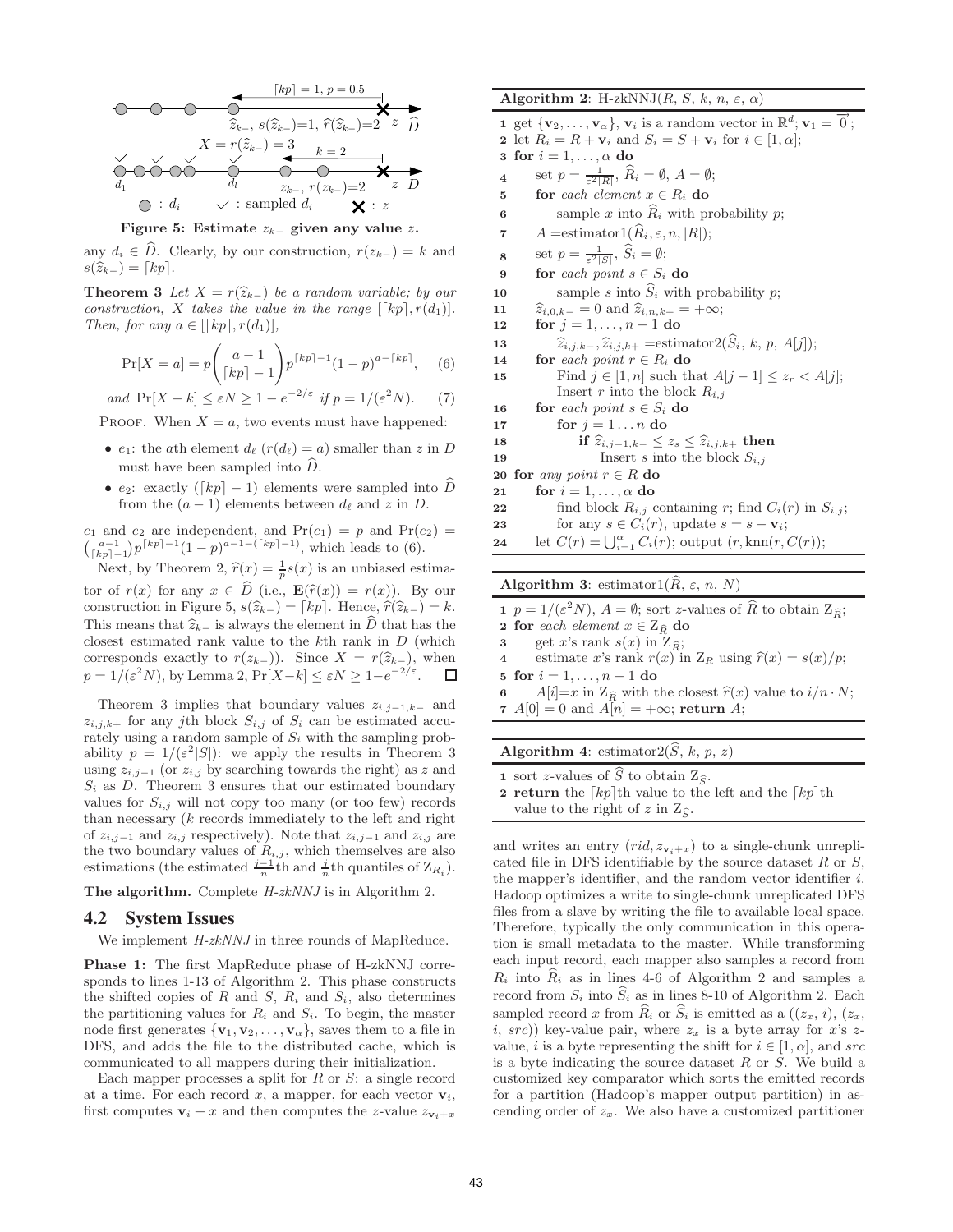



any  $d_i \in \widehat{D}$ . Clearly, by our construction,  $r(z_{k-}) = k$  and  $s(\widehat{z}_{k-}) = \lceil kp \rceil$ .

**Theorem 3** *Let*  $X = r(\hat{z}_{k-})$  *be a random variable; by our construction,* X *takes the value in the range*  $[[kp], r(d_1)].$ *Then, for any*  $a \in [\lceil kp \rceil, r(d_1)]$ *,* 

$$
\Pr[X = a] = p \binom{a-1}{\lceil kp \rceil - 1} p^{\lceil kp \rceil - 1} (1 - p)^{a - \lceil kp \rceil}, \quad (6)
$$

and 
$$
Pr[X - k] \le \varepsilon N \ge 1 - e^{-2/\varepsilon}
$$
 if  $p = 1/(\varepsilon^2 N)$ . (7)  
PROOF. When  $X = a$ , two events must have happened:

- $e_1$ : the ath element  $d_{\ell}$  ( $r(d_{\ell}) = a$ ) smaller than z in D must have been sampled into  $\hat{D}$ .
- e2: exactly  $([kp] 1)$  elements were sampled into D from the  $(a-1)$  elements between  $d_{\ell}$  and z in D.

 $e_1$  and  $e_2$  are independent, and  $Pr(e_1) = p$  and  $Pr(e_2) =$  $\binom{a-1}{\lceil kp \rceil-1} p^{\lceil kp \rceil-1} (1-p)^{a-1-(\lceil kp \rceil-1)}$ , which leads to (6).

Next, by Theorem 2,  $\hat{r}(x) = \frac{1}{p} s(x)$  is an unbiased estimator of  $r(x)$  for any  $x \in \widehat{D}$  (i.e.,  $\mathbf{E}(\widehat{r}(x)) = r(x)$ ). By our construction in Figure 5,  $s(\hat{z}_{k-}) = [kp]$ . Hence,  $\hat{r}(\hat{z}_{k-}) = k$ . This means that  $\widehat{z}_{k-}$  is always the element in  $\widehat{D}$  that has the closest estimated rank value to the kth rank in D (which corresponds exactly to  $r(z_{k-})$ ). Since  $X = r(\hat{z}_{k-})$ , when  $p = 1/(e^2 N)$ , by Lemma 2,  $Pr[X-k] \le \varepsilon N > 1 - e^{-2/\varepsilon}$ .  $p = 1/(\varepsilon^2 N)$ , by Lemma 2,  $Pr[X-k] \leq \varepsilon N \geq 1 - e^{-2/\varepsilon}$ .

Theorem 3 implies that boundary values  $z_{i,j-1,k-}$  and  $z_{i,j,k+}$  for any jth block  $S_{i,j}$  of  $S_i$  can be estimated accurately using a random sample of  $S_i$  with the sampling probability  $p = 1/(\varepsilon^2|S|)$ : we apply the results in Theorem 3 using  $z_{i,j-1}$  (or  $z_{i,j}$  by searching towards the right) as z and  $S_i$  as  $D$ . Theorem 3 ensures that our estimated boundary values for  $S_{i,j}$  will not copy too many (or too few) records than necessary  $(k \text{ records immediately to the left and right})$ of  $z_{i,j-1}$  and  $z_{i,j}$  respectively). Note that  $z_{i,j-1}$  and  $z_{i,j}$  are the two boundary values of  $R_{i,j}$ , which themselves are also estimations (the estimated  $\frac{j-1}{n}$ th and  $\frac{j}{n}$ th quantiles of  $Z_{R_i}$ ).

The algorithm. Complete *H-zkNNJ* is in Algorithm 2.

#### **4.2 System Issues**

We implement *H-zkNNJ* in three rounds of MapReduce.

Phase 1: The first MapReduce phase of H-zkNNJ corresponds to lines 1-13 of Algorithm 2. This phase constructs the shifted copies of R and S,  $R_i$  and  $S_i$ , also determines the partitioning values for  $R_i$  and  $S_i$ . To begin, the master node first generates  $\{v_1, v_2, \ldots, v_\alpha\}$ , saves them to a file in DFS, and adds the file to the distributed cache, which is communicated to all mappers during their initialization.

Each mapper processes a split for  $R$  or  $S$ : a single record at a time. For each record x, a mapper, for each vector  $v_i$ , first computes  $v_i + x$  and then computes the z-value  $z_{v_i+x}$ 

Algorithm 2: H-zkNNJ $(R, S, k, n, \varepsilon, \alpha)$ 1 get  ${\mathbf v}_2, \ldots, {\mathbf v}_\alpha$ ,  ${\mathbf v}_i$  is a random vector in  $\mathbb{R}^d$ ;  ${\mathbf v}_1 = \overrightarrow{0}$ ; 2 let  $R_i = R + \mathbf{v}_i$  and  $S_i = S + \mathbf{v}_i$  for  $i \in [1, \alpha]$ ; 3 for  $i = 1, \ldots, \alpha$  do **4** set  $p = \frac{1}{\varepsilon^2 |R|}, \ \widehat{R}_i = \emptyset, \ A = \emptyset;$ 5 **for** *each element*  $x \in R_i$  **do**<br>6 **sample** x into  $\hat{R}_i$  with p sample x into  $\widehat{R}_i$  with probability p; 7  $A = \text{estimator1}(\widehat{R}_i, \varepsilon, n, |R|);$ **8** set  $p = \frac{1}{\varepsilon^2 |S|}, \widehat{S}_i = \emptyset;$ 9 **for** *each point*  $s \in S_i$  **do**<br>10 **sample** *s* into  $\widehat{S}_i$  with 10 sample s into  $\hat{S}_i$  with probability p;<br>
11  $\hat{z}_{i,0,k-} = 0$  and  $\hat{z}_{i,n,k+} = +\infty$ ; 11  $\hat{z}_{i,0,k-} = 0 \text{ and } \hat{z}_{i,n,k+} = +\infty;$ <br>
12 for  $j = 1, ..., n-1$  do for  $j = 1, ..., n - 1$  do **13**  $\hat{z}_{i,j,k-}, \hat{z}_{i,j,k+} = \text{estimator2}(\hat{S}_i, k, p, A[j]);$ <br>**14** for each point  $r \in R_i$  do 14 **for** *each point*  $r \in R_i$  **do**<br>15 **Find**  $j \in [1, n]$  such the Find  $j \in [1, n]$  such that  $A[j - 1] \leq z_r < A[j];$ Insert r into the block  $R_{i,j}$ 16 for *each point*  $s \in S_i$  do<br>17 for  $j = 1 \dots n$  do for  $j = 1 \ldots n$  do 18 if  $\hat{z}_{i,j-1,k-} \leq z_s \leq \hat{z}_{i,j,k+}$  then<br>19 Insert *s* into the block  $S_{i,j}$ Insert s into the block  $S_{i,j}$ 20 for *any point*  $r \in R$  do<br>21 for  $i = 1, ..., \alpha$  do for  $i = 1, \ldots, \alpha$  do 22 find block  $R_{i,j}$  containing r; find  $C_i(r)$  in  $S_{i,j}$ ; 23 for any  $s \in C_i(r)$ , update  $s = s - \mathbf{v}_i$ ;<br>24 let  $C(r) = \bigr\lfloor \frac{\alpha}{r} \cdot C_i(r) \bigr\rfloor$ ; output  $(r, \text{km}(r))$ 24 let  $C(r) = \bigcup_{i=1}^{\alpha} C_i(r)$ ; output  $(r, \text{km}(r, C(r)))$ ;

Algorithm 3: estimator1( $\overline{R}$ ,  $\varepsilon$ , n, N)

| 1 $p = 1/(\varepsilon^2 N)$ , $A = \emptyset$ ; sort z-values of R to obtain $Z_{\widehat{B}}$ ;                                                                                                                                                                                                                                                                      |
|-----------------------------------------------------------------------------------------------------------------------------------------------------------------------------------------------------------------------------------------------------------------------------------------------------------------------------------------------------------------------|
| 2 for each element $x \in \mathbb{Z}_{\widehat{R}}$ do                                                                                                                                                                                                                                                                                                                |
| 3 get x's rank $s(x)$ in $Z_{\widehat{B}}$ ;                                                                                                                                                                                                                                                                                                                          |
| estimate x's rank $r(x)$ in $Z_R$ using $\hat{r}(x) = s(x)/p$ ;<br>$4 -$                                                                                                                                                                                                                                                                                              |
| 5 for $i = 1, , n - 1$ do                                                                                                                                                                                                                                                                                                                                             |
| 6 $A[i]=x$ in $Z_{\hat{B}}$ with the closest $\hat{r}(x)$ value to $i/n \cdot N$ ;                                                                                                                                                                                                                                                                                    |
| 7 $A[0] = 0$ and $A[n] = +\infty$ ; return A;                                                                                                                                                                                                                                                                                                                         |
|                                                                                                                                                                                                                                                                                                                                                                       |
| $\mathbf{A} \mathbf{1}$ $\mathbf{A} \mathbf{1}$ $\mathbf{A} \mathbf{1}$ $\mathbf{A} \mathbf{1}$ $\mathbf{A} \mathbf{1}$ $\mathbf{A} \mathbf{1}$ $\mathbf{A} \mathbf{1}$ $\mathbf{A} \mathbf{1}$ $\mathbf{A} \mathbf{1}$ $\mathbf{A} \mathbf{1}$ $\mathbf{A} \mathbf{1}$ $\mathbf{A} \mathbf{1}$ $\mathbf{A} \mathbf{1}$ $\mathbf{A} \mathbf{1} \mathbf{1}$ $\mathbf{$ |

| <b>Algorithm 4:</b> estimator2( $\widehat{S}$ , k, p, z) |                                                                                    |
|----------------------------------------------------------|------------------------------------------------------------------------------------|
|                                                          | 1 sort z-values of $\widehat{S}$ to obtain $Z_{\widehat{S}}$ .                     |
|                                                          | 2 return the $\lceil kp \rceil$ th value to the left and the $\lceil kp \rceil$ th |
|                                                          | value to the right of z in $Z_{\hat{S}}$ .                                         |

and writes an entry  $(rid, z_{v_i+x})$  to a single-chunk unreplicated file in DFS identifiable by the source dataset  $R$  or  $S$ , the mapper's identifier, and the random vector identifier i. Hadoop optimizes a write to single-chunk unreplicated DFS files from a slave by writing the file to available local space. Therefore, typically the only communication in this operation is small metadata to the master. While transforming each input record, each mapper also samples a record from  $R_i$  into  $\widehat{R}_i$  as in lines 4-6 of Algorithm 2 and samples a record from  $S_i$  into  $\widehat{S}_i$  as in lines 8-10 of Algorithm 2. Each sampled record x from  $\widehat{R}_i$  or  $\widehat{S}_i$  is emitted as a  $((z_x, i), (z_x, j))$ i, src)) key-value pair, where  $z_x$  is a byte array for x's zvalue, i is a byte representing the shift for  $i \in [1, \alpha]$ , and  $src$ is a byte indicating the source dataset  $R$  or  $S$ . We build a customized key comparator which sorts the emitted records for a partition (Hadoop's mapper output partition) in ascending order of  $z_x$ . We also have a customized partitioner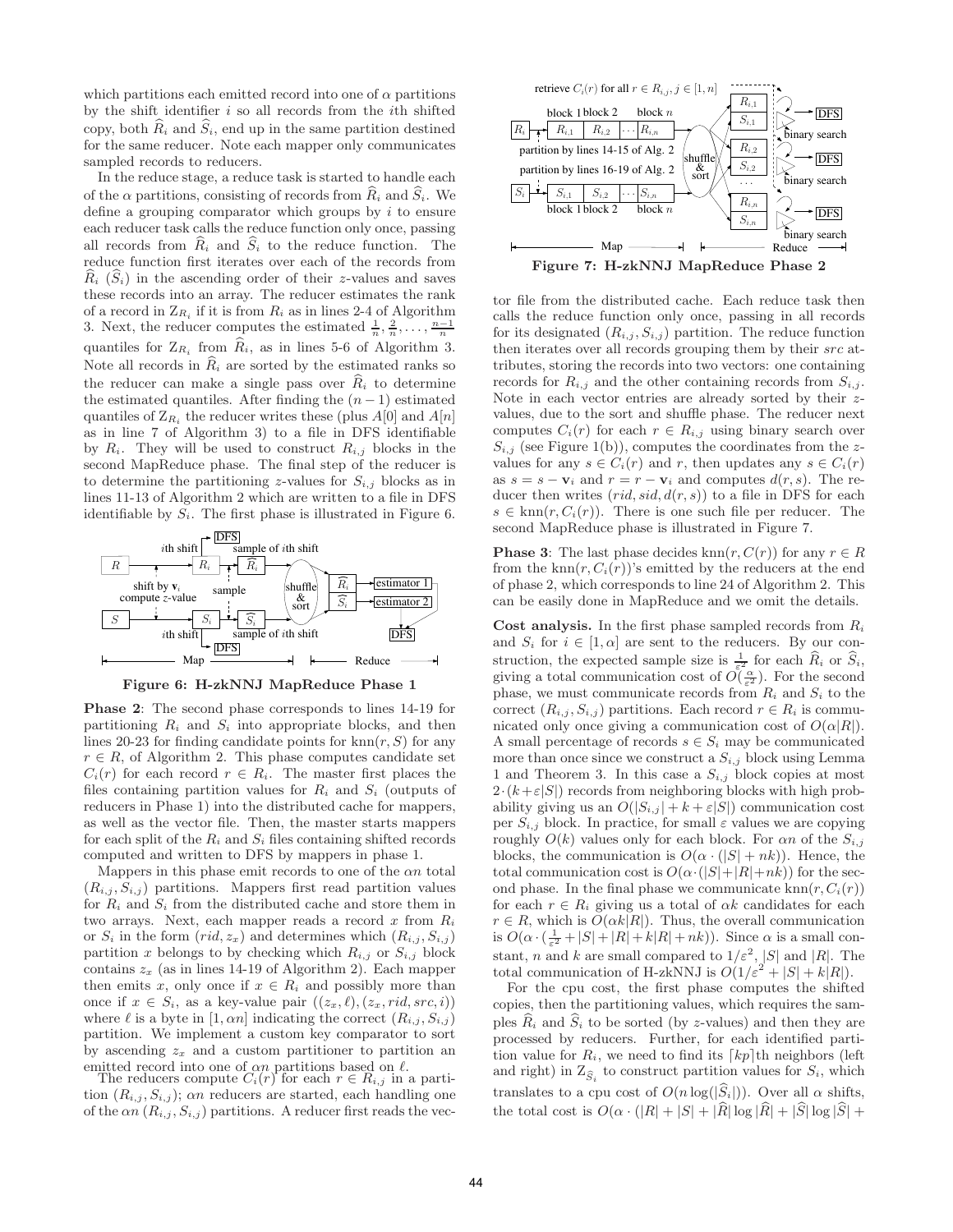which partitions each emitted record into one of  $\alpha$  partitions by the shift identifier  $i$  so all records from the *i*th shifted copy, both  $\widehat{R}_i$  and  $\widehat{S}_i$ , end up in the same partition destined for the same reducer. Note each mapper only communicates sampled records to reducers.

In the reduce stage, a reduce task is started to handle each of the  $\alpha$  partitions, consisting of records from  $\widehat{R}_i$  and  $\widehat{S}_i$ . We define a grouping comparator which groups by  $i$  to ensure each reducer task calls the reduce function only once, passing all records from  $\widehat{R}_i$  and  $\widehat{S}_i$  to the reduce function. The reduce function first iterates over each of the records from  $R_i$  ( $S_i$ ) in the ascending order of their z-values and saves these records into an array. The reducer estimates the rank of a record in  $Z_{R_i}$  if it is from  $R_i$  as in lines 2-4 of Algorithm 3. Next, the reducer computes the estimated  $\frac{1}{n}, \frac{2}{n}, \ldots, \frac{n-1}{n}$ quantiles for  $Z_{R_i}$  from  $\widehat{R}_i$ , as in lines 5-6 of Algorithm 3. Note all records in  $\widehat{R}_i$  are sorted by the estimated ranks so the reducer can make a single pass over  $\hat{R}_i$  to determine the estimated quantiles. After finding the  $(n-1)$  estimated quantiles of  $Z_{R_i}$  the reducer writes these (plus  $A[0]$  and  $A[n]$ as in line 7 of Algorithm 3) to a file in DFS identifiable by  $R_i$ . They will be used to construct  $R_{i,j}$  blocks in the second MapReduce phase. The final step of the reducer is to determine the partitioning z-values for  $S_{i,j}$  blocks as in lines 11-13 of Algorithm 2 which are written to a file in DFS identifiable by  $S_i$ . The first phase is illustrated in Figure 6.





Phase 2: The second phase corresponds to lines 14-19 for partitioning  $R_i$  and  $S_i$  into appropriate blocks, and then lines 20-23 for finding candidate points for  $\text{km}(r, S)$  for any  $r \in R$ , of Algorithm 2. This phase computes candidate set  $C_i(r)$  for each record  $r \in R_i$ . The master first places the files containing partition values for  $R_i$  and  $S_i$  (outputs of reducers in Phase 1) into the distributed cache for mappers, as well as the vector file. Then, the master starts mappers for each split of the  $R_i$  and  $S_i$  files containing shifted records computed and written to DFS by mappers in phase 1.

Mappers in this phase emit records to one of the  $\alpha n$  total  $(R_{i,j}, S_{i,j})$  partitions. Mappers first read partition values for  $R_i$  and  $S_i$  from the distributed cache and store them in two arrays. Next, each mapper reads a record x from  $R_i$ or  $S_i$  in the form  $(\text{rid}, z_x)$  and determines which  $(R_{i,j}, S_{i,j})$ partition x belongs to by checking which  $R_{i,j}$  or  $S_{i,j}$  block contains  $z_x$  (as in lines 14-19 of Algorithm 2). Each mapper then emits x, only once if  $x \in R_i$  and possibly more than once if  $x \in S_i$ , as a key-value pair  $((z_x, \ell), (z_x, rid, src, i))$ where  $\ell$  is a byte in  $[1, \alpha n]$  indicating the correct  $(R_{i,j}, S_{i,j})$ partition. We implement a custom key comparator to sort by ascending  $z_x$  and a custom partitioner to partition an

emitted record into one of  $\alpha n$  partitions based on  $\ell$ .<br>The reducers compute  $C_i(r)$  for each  $r \in R_{i,j}$  in a partition  $(R_{i,j}, S_{i,j})$ ; an reducers are started, each handling one of the  $\alpha n$   $(R_{i,j}, S_{i,j})$  partitions. A reducer first reads the vec-



tor file from the distributed cache. Each reduce task then calls the reduce function only once, passing in all records for its designated  $(R_{i,j}, S_{i,j})$  partition. The reduce function then iterates over all records grouping them by their src attributes, storing the records into two vectors: one containing records for  $R_{i,j}$  and the other containing records from  $S_{i,j}$ . Note in each vector entries are already sorted by their zvalues, due to the sort and shuffle phase. The reducer next computes  $C_i(r)$  for each  $r \in R_{i,j}$  using binary search over  $S_{i,j}$  (see Figure 1(b)), computes the coordinates from the zvalues for any  $s \in C_i(r)$  and r, then updates any  $s \in C_i(r)$ as  $s = s - \mathbf{v}_i$  and  $r = r - \mathbf{v}_i$  and computes  $d(r, s)$ . The reducer then writes  $(rid, sid, d(r, s))$  to a file in DFS for each  $s \in \text{km}(r, C_i(r))$ . There is one such file per reducer. The second MapReduce phase is illustrated in Figure 7.

**Phase 3:** The last phase decides knn $(r, C(r))$  for any  $r \in R$ from the  $\text{km}(r, C_i(r))$ 's emitted by the reducers at the end of phase 2, which corresponds to line 24 of Algorithm 2. This can be easily done in MapReduce and we omit the details.

Cost analysis. In the first phase sampled records from  $R_i$ and  $S_i$  for  $i \in [1, \alpha]$  are sent to the reducers. By our construction, the expected sample size is  $\frac{1}{\varepsilon^2}$  for each  $\widehat{R}_i$  or  $\widehat{S}_i$ , giving a total communication cost of  $\widetilde{O}(\frac{\alpha}{\varepsilon^2})$ . For the second phase, we must communicate records from  $R_i$  and  $S_i$  to the correct  $(R_{i,j}, S_{i,j})$  partitions. Each record  $r \in R_i$  is communicated only once giving a communication cost of  $O(\alpha|R|)$ . A small percentage of records  $s \in S_i$  may be communicated more than once since we construct a  $S_{i,j}$  block using Lemma 1 and Theorem 3. In this case a  $S_{i,j}$  block copies at most  $2 \cdot (k + \varepsilon |S|)$  records from neighboring blocks with high probability giving us an  $O(|S_{i,j}| + k + \varepsilon |S|)$  communication cost per  $S_{i,j}$  block. In practice, for small  $\varepsilon$  values we are copying roughly  $O(k)$  values only for each block. For an of the  $S_{i,j}$ blocks, the communication is  $O(\alpha \cdot (|S| + nk))$ . Hence, the total communication cost is  $O(\alpha \cdot (|S|+|R|+nk))$  for the second phase. In the final phase we communicate  $\text{km}(r, C_i(r))$ for each  $r \in R_i$  giving us a total of  $\alpha k$  candidates for each  $r \in R$ , which is  $O(\alpha k|R|)$ . Thus, the overall communication is  $O(\alpha \cdot (\frac{1}{\varepsilon^2} + |S| + |R| + k|R| + nk))$ . Since  $\alpha$  is a small constant, n and k are small compared to  $1/\varepsilon^2$ ,  $|S|$  and  $|R|$ . The total communication of H-zkNNJ is  $O(1/\varepsilon^2 + |S| + k|R|)$ .

For the cpu cost, the first phase computes the shifted copies, then the partitioning values, which requires the samples  $\hat{R}_i$  and  $\hat{S}_i$  to be sorted (by z-values) and then they are processed by reducers. Further, for each identified partition value for  $R_i$ , we need to find its  $\lceil kp \rceil$ th neighbors (left and right) in  $Z_{\widehat{S}_i}$  to construct partition values for  $S_i$ , which translates to a cpu cost of  $O(n \log(|\widehat{S}_i|))$ . Over all  $\alpha$  shifts, the total cost is  $O(\alpha \cdot (|R|+|S|+ \widehat{|R|} \log |\widehat{R}| + |\widehat{S}| \log |\widehat{S}| +$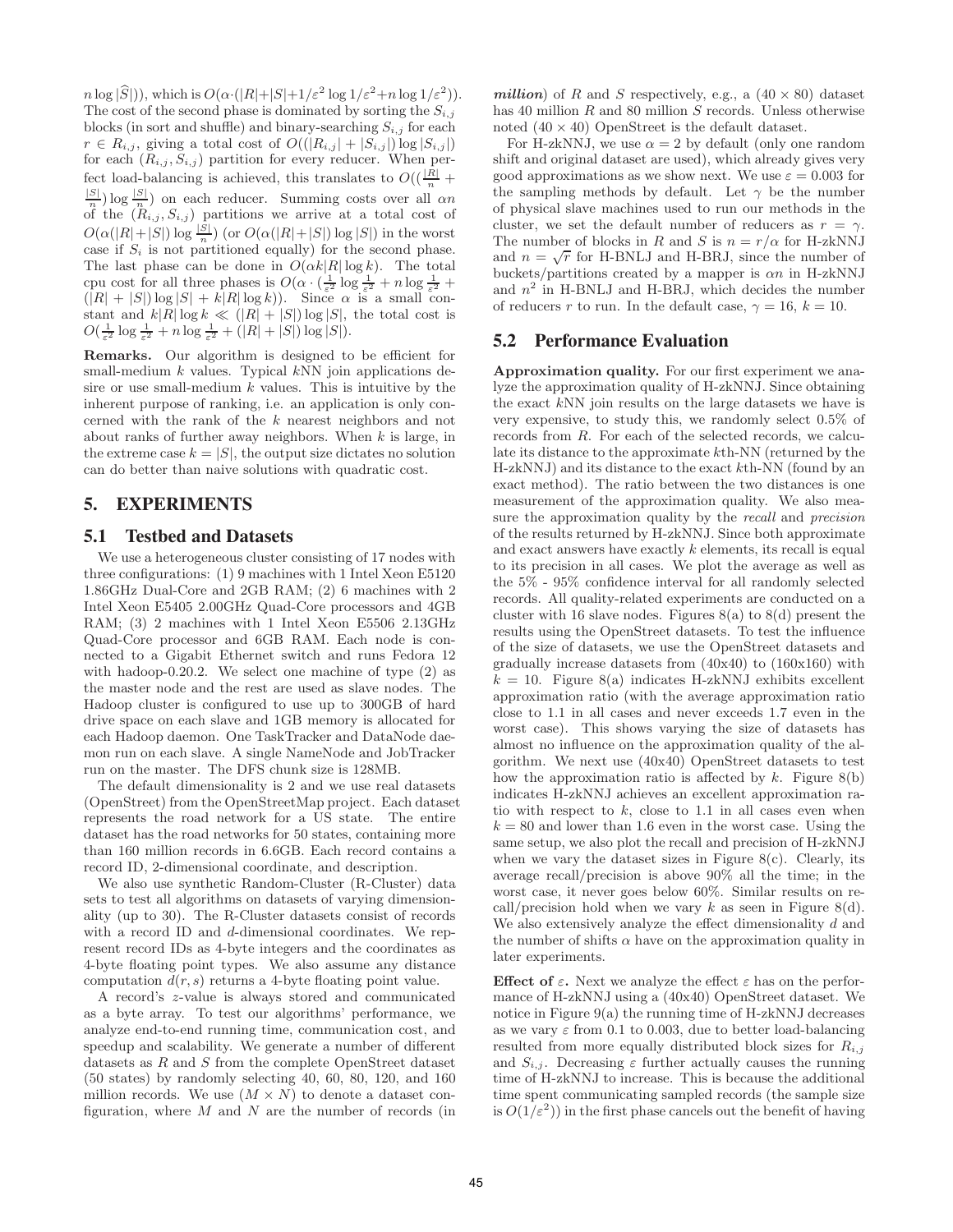$n \log |\widehat{S}|$ ), which is  $O(\alpha \cdot (|R|+|S|+1/\varepsilon^2 \log 1/\varepsilon^2 + n \log 1/\varepsilon^2))$ . The cost of the second phase is dominated by sorting the  $S_{i,j}$ blocks (in sort and shuffle) and binary-searching  $S_{i,j}$  for each  $r \in R_{i,j}$ , giving a total cost of  $O((|R_{i,j}| + |S_{i,j}|) \log |S_{i,j}|)$ for each  $(R_{i,j}, S_{i,j})$  partition for every reducer. When perfect load-balancing is achieved, this translates to  $O((\frac{|R|}{n} +$  $\frac{|S|}{n}$  log  $\frac{|S|}{n}$  on each reducer. Summing costs over all  $\alpha n$ of the  $(R_{i,j}, S_{i,j})$  partitions we arrive at a total cost of  $O(\alpha(|R|+|S|)\log\frac{|S|}{n})$  (or  $O(\alpha(|R|+|S|)\log|S|)$  in the worst case if  $S_i$  is not partitioned equally) for the second phase. The last phase can be done in  $O(\alpha k|R|\log k)$ . The total cpu cost for all three phases is  $O(\alpha \cdot (\frac{1}{\varepsilon^2} \log \frac{1}{\varepsilon^2} + n \log \frac{1}{\varepsilon^2} +$  $(|R| + |S|) \log |S| + k|R| \log k)$ . Since  $\alpha$  is a small constant and  $k|R|\log k \ll (|R|+|S|)\log |S|$ , the total cost is  $O(\frac{1}{\varepsilon^2}\log \frac{1}{\varepsilon^2} + n\log \frac{1}{\varepsilon^2} + (|R|+|S|)\log |S|)$ .

Remarks. Our algorithm is designed to be efficient for small-medium  $k$  values. Typical  $kNN$  join applications desire or use small-medium  $k$  values. This is intuitive by the inherent purpose of ranking, i.e. an application is only concerned with the rank of the k nearest neighbors and not about ranks of further away neighbors. When  $k$  is large, in the extreme case  $k = |S|$ , the output size dictates no solution can do better than naive solutions with quadratic cost.

# **5. EXPERIMENTS**

# **5.1 Testbed and Datasets**

We use a heterogeneous cluster consisting of 17 nodes with three configurations: (1) 9 machines with 1 Intel Xeon E5120 1.86GHz Dual-Core and 2GB RAM; (2) 6 machines with 2 Intel Xeon E5405 2.00GHz Quad-Core processors and 4GB RAM; (3) 2 machines with 1 Intel Xeon E5506 2.13GHz Quad-Core processor and 6GB RAM. Each node is connected to a Gigabit Ethernet switch and runs Fedora 12 with hadoop-0.20.2. We select one machine of type (2) as the master node and the rest are used as slave nodes. The Hadoop cluster is configured to use up to 300GB of hard drive space on each slave and 1GB memory is allocated for each Hadoop daemon. One TaskTracker and DataNode daemon run on each slave. A single NameNode and JobTracker run on the master. The DFS chunk size is 128MB.

The default dimensionality is 2 and we use real datasets (OpenStreet) from the OpenStreetMap project. Each dataset represents the road network for a US state. The entire dataset has the road networks for 50 states, containing more than 160 million records in 6.6GB. Each record contains a record ID, 2-dimensional coordinate, and description.

We also use synthetic Random-Cluster (R-Cluster) data sets to test all algorithms on datasets of varying dimensionality (up to 30). The R-Cluster datasets consist of records with a record ID and d-dimensional coordinates. We represent record IDs as 4-byte integers and the coordinates as 4-byte floating point types. We also assume any distance computation  $d(r, s)$  returns a 4-byte floating point value.

A record's z-value is always stored and communicated as a byte array. To test our algorithms' performance, we analyze end-to-end running time, communication cost, and speedup and scalability. We generate a number of different datasets as R and S from the complete OpenStreet dataset (50 states) by randomly selecting 40, 60, 80, 120, and 160 million records. We use  $(M \times N)$  to denote a dataset configuration, where  $M$  and  $N$  are the number of records (in

million) of R and S respectively, e.g., a  $(40 \times 80)$  dataset has 40 million R and 80 million S records. Unless otherwise noted  $(40 \times 40)$  OpenStreet is the default dataset.

For H-zkNNJ, we use  $\alpha = 2$  by default (only one random shift and original dataset are used), which already gives very good approximations as we show next. We use  $\varepsilon = 0.003$  for the sampling methods by default. Let  $\gamma$  be the number of physical slave machines used to run our methods in the cluster, we set the default number of reducers as  $r = \gamma$ . The number of blocks in R and S is  $n = r/\alpha$  for H-zkNNJ and  $n = \sqrt{r}$  for H-BNLJ and H-BRJ, since the number of buckets/partitions created by a mapper is  $\alpha n$  in H-zkNNJ and  $n^2$  in H-BNLJ and H-BRJ, which decides the number of reducers r to run. In the default case,  $\gamma = 16$ ,  $k = 10$ .

# **5.2 Performance Evaluation**

Approximation quality. For our first experiment we analyze the approximation quality of H-zkNNJ. Since obtaining the exact kNN join results on the large datasets we have is very expensive, to study this, we randomly select 0.5% of records from R. For each of the selected records, we calculate its distance to the approximate kth-NN (returned by the H-zkNNJ) and its distance to the exact kth-NN (found by an exact method). The ratio between the two distances is one measurement of the approximation quality. We also measure the approximation quality by the *recall* and *precision* of the results returned by H-zkNNJ. Since both approximate and exact answers have exactly  $k$  elements, its recall is equal to its precision in all cases. We plot the average as well as the 5% - 95% confidence interval for all randomly selected records. All quality-related experiments are conducted on a cluster with 16 slave nodes. Figures  $8(a)$  to  $8(d)$  present the results using the OpenStreet datasets. To test the influence of the size of datasets, we use the OpenStreet datasets and gradually increase datasets from (40x40) to (160x160) with  $k = 10$ . Figure 8(a) indicates H-zkNNJ exhibits excellent approximation ratio (with the average approximation ratio close to 1.1 in all cases and never exceeds 1.7 even in the worst case). This shows varying the size of datasets has almost no influence on the approximation quality of the algorithm. We next use (40x40) OpenStreet datasets to test how the approximation ratio is affected by  $k$ . Figure 8(b) indicates H-zkNNJ achieves an excellent approximation ratio with respect to  $k$ , close to 1.1 in all cases even when  $k = 80$  and lower than 1.6 even in the worst case. Using the same setup, we also plot the recall and precision of H-zkNNJ when we vary the dataset sizes in Figure 8 $(c)$ . Clearly, its average recall/precision is above 90% all the time; in the worst case, it never goes below 60%. Similar results on recall/precision hold when we vary k as seen in Figure 8(d). We also extensively analyze the effect dimensionality d and the number of shifts  $\alpha$  have on the approximation quality in later experiments.

Effect of  $\varepsilon$ . Next we analyze the effect  $\varepsilon$  has on the performance of H-zkNNJ using a (40x40) OpenStreet dataset. We notice in Figure  $9(a)$  the running time of H-zkNNJ decreases as we vary  $\varepsilon$  from 0.1 to 0.003, due to better load-balancing resulted from more equally distributed block sizes for  $R_{i,j}$ and  $S_{i,j}$ . Decreasing  $\varepsilon$  further actually causes the running time of H-zkNNJ to increase. This is because the additional time spent communicating sampled records (the sample size is  $O(1/\varepsilon^2)$  in the first phase cancels out the benefit of having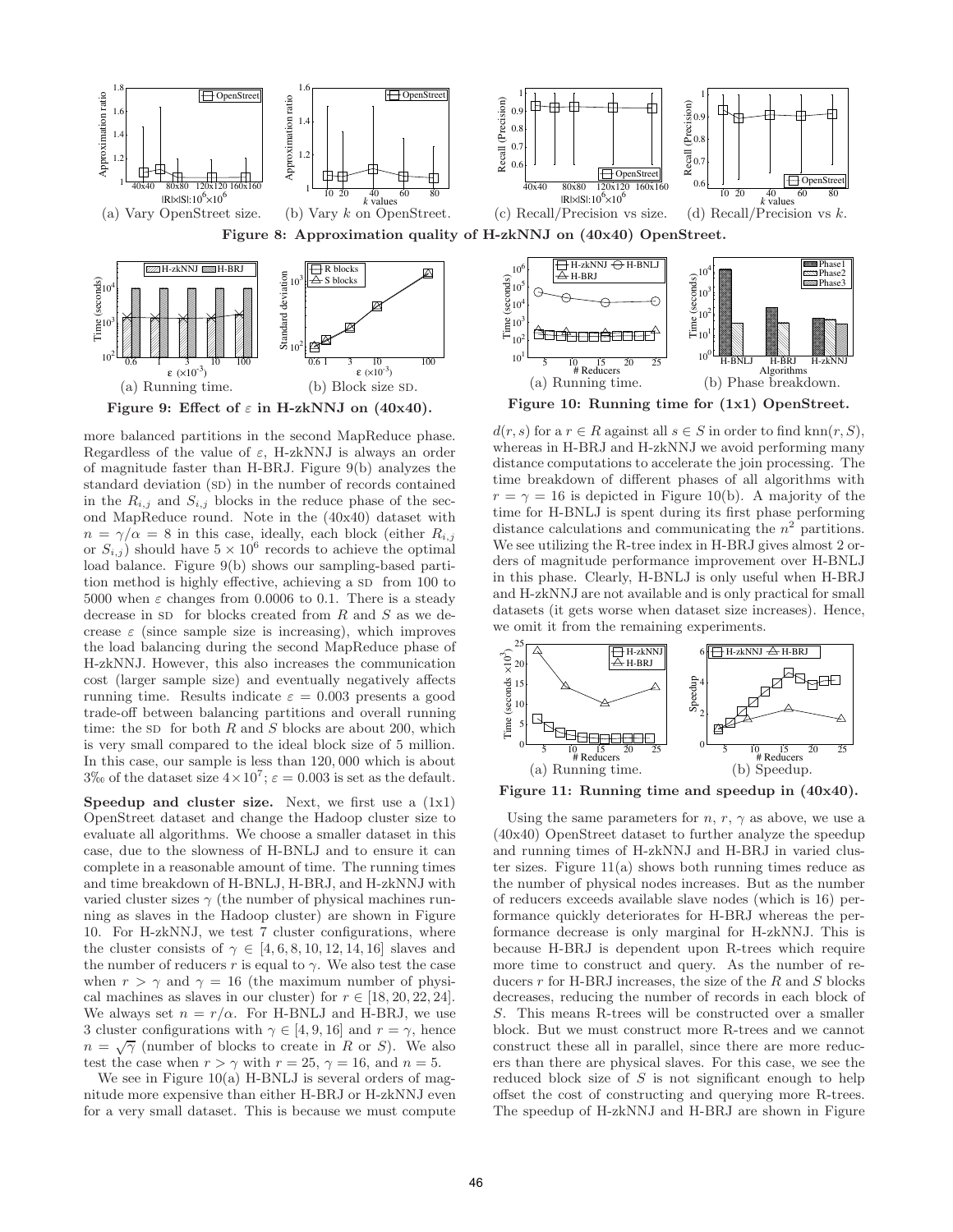

Figure 9: Effect of  $\varepsilon$  in H-zkNNJ on (40x40).

more balanced partitions in the second MapReduce phase. Regardless of the value of  $\varepsilon$ , H-zkNNJ is always an order of magnitude faster than H-BRJ. Figure 9(b) analyzes the standard deviation (SD) in the number of records contained in the  $R_{i,j}$  and  $S_{i,j}$  blocks in the reduce phase of the second MapReduce round. Note in the (40x40) dataset with  $n = \gamma/\alpha = 8$  in this case, ideally, each block (either  $R_{i,j}$ ) or  $S_{i,j}$ ) should have  $5 \times 10^6$  records to achieve the optimal load balance. Figure 9(b) shows our sampling-based partition method is highly effective, achieving a sp from 100 to 5000 when  $\varepsilon$  changes from 0.0006 to 0.1. There is a steady decrease in  $SD$  for blocks created from  $R$  and  $S$  as we decrease  $\varepsilon$  (since sample size is increasing), which improves the load balancing during the second MapReduce phase of H-zkNNJ. However, this also increases the communication cost (larger sample size) and eventually negatively affects running time. Results indicate  $\varepsilon = 0.003$  presents a good trade-off between balancing partitions and overall running time: the  $SD$  for both  $R$  and  $S$  blocks are about 200, which is very small compared to the ideal block size of 5 million. In this case, our sample is less than 120, 000 which is about  $3\%$  of the dataset size  $4 \times 10^7$ ;  $\varepsilon = 0.003$  is set as the default.

**Speedup and cluster size.** Next, we first use a  $(1x1)$ OpenStreet dataset and change the Hadoop cluster size to evaluate all algorithms. We choose a smaller dataset in this case, due to the slowness of H-BNLJ and to ensure it can complete in a reasonable amount of time. The running times and time breakdown of H-BNLJ, H-BRJ, and H-zkNNJ with varied cluster sizes  $\gamma$  (the number of physical machines running as slaves in the Hadoop cluster) are shown in Figure 10. For H-zkNNJ, we test 7 cluster configurations, where the cluster consists of  $\gamma \in [4, 6, 8, 10, 12, 14, 16]$  slaves and the number of reducers r is equal to  $\gamma$ . We also test the case when  $r > \gamma$  and  $\gamma = 16$  (the maximum number of physical machines as slaves in our cluster) for  $r \in [18, 20, 22, 24]$ . We always set  $n = r/\alpha$ . For H-BNLJ and H-BRJ, we use 3 cluster configurations with  $\gamma \in [4, 9, 16]$  and  $r = \gamma$ , hence  $n = \sqrt{\gamma}$  (number of blocks to create in R or S). We also test the case when  $r > \gamma$  with  $r = 25$ ,  $\gamma = 16$ , and  $n = 5$ .

We see in Figure 10(a) H-BNLJ is several orders of magnitude more expensive than either H-BRJ or H-zkNNJ even for a very small dataset. This is because we must compute

Figure 10: Running time for (1x1) OpenStreet.

 $d(r, s)$  for a  $r \in R$  against all  $s \in S$  in order to find knn $(r, S)$ , whereas in H-BRJ and H-zkNNJ we avoid performing many distance computations to accelerate the join processing. The time breakdown of different phases of all algorithms with  $r = \gamma = 16$  is depicted in Figure 10(b). A majority of the time for H-BNLJ is spent during its first phase performing distance calculations and communicating the  $n^2$  partitions. We see utilizing the R-tree index in H-BRJ gives almost 2 orders of magnitude performance improvement over H-BNLJ in this phase. Clearly, H-BNLJ is only useful when H-BRJ and H-zkNNJ are not available and is only practical for small datasets (it gets worse when dataset size increases). Hence, we omit it from the remaining experiments.



Figure 11: Running time and speedup in (40x40).

Using the same parameters for *n*, *r*,  $\gamma$  as above, we use a (40x40) OpenStreet dataset to further analyze the speedup and running times of H-zkNNJ and H-BRJ in varied cluster sizes. Figure  $11(a)$  shows both running times reduce as the number of physical nodes increases. But as the number of reducers exceeds available slave nodes (which is 16) performance quickly deteriorates for H-BRJ whereas the performance decrease is only marginal for H-zkNNJ. This is because H-BRJ is dependent upon R-trees which require more time to construct and query. As the number of reducers  $r$  for H-BRJ increases, the size of the  $R$  and  $S$  blocks decreases, reducing the number of records in each block of S. This means R-trees will be constructed over a smaller block. But we must construct more R-trees and we cannot construct these all in parallel, since there are more reducers than there are physical slaves. For this case, we see the reduced block size of  $S$  is not significant enough to help offset the cost of constructing and querying more R-trees. The speedup of H-zkNNJ and H-BRJ are shown in Figure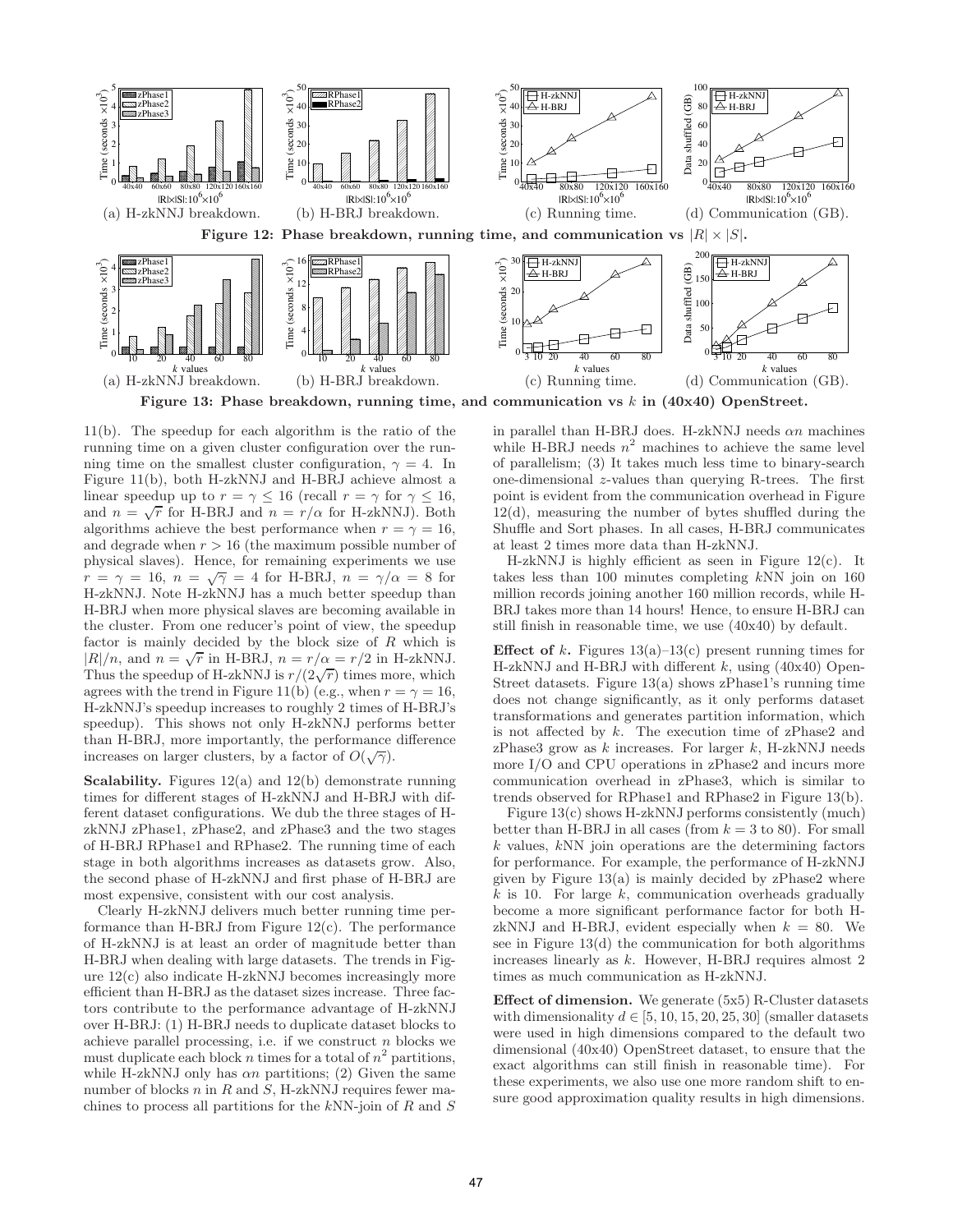

11(b). The speedup for each algorithm is the ratio of the running time on a given cluster configuration over the running time on the smallest cluster configuration,  $\gamma = 4$ . In Figure 11(b), both H-zkNNJ and H-BRJ achieve almost a linear speedup up to  $r = \gamma \le 16$  (recall  $r = \gamma$  for  $\gamma \le 16$ , and  $n = \sqrt{r}$  for H-BRJ and  $n = r/\alpha$  for H-zkNNJ). Both algorithms achieve the best performance when  $r = \gamma = 16$ , and degrade when  $r > 16$  (the maximum possible number of physical slaves). Hence, for remaining experiments we use  $r = \gamma = 16$ ,  $n = \sqrt{\gamma} = 4$  for H-BRJ,  $n = \gamma/\alpha = 8$  for H-zkNNJ. Note H-zkNNJ has a much better speedup than H-BRJ when more physical slaves are becoming available in the cluster. From one reducer's point of view, the speedup factor is mainly decided by the block size of  $R$  which is  $|R|/n$ , and  $n = \sqrt{r}$  in H-BRJ,  $n = r/\alpha = r/2$  in H-zkNNJ. Thus the speedup of H-zkNNJ is  $r/(2\sqrt{r})$  times more, which agrees with the trend in Figure 11(b) (e.g., when  $r = \gamma = 16$ , H-zkNNJ's speedup increases to roughly 2 times of H-BRJ's speedup). This shows not only H-zkNNJ performs better than H-BRJ, more importantly, the performance difference increases on larger clusters, by a factor of  $O(\sqrt{\gamma})$ .

Scalability. Figures 12(a) and 12(b) demonstrate running times for different stages of H-zkNNJ and H-BRJ with different dataset configurations. We dub the three stages of HzkNNJ zPhase1, zPhase2, and zPhase3 and the two stages of H-BRJ RPhase1 and RPhase2. The running time of each stage in both algorithms increases as datasets grow. Also, the second phase of H-zkNNJ and first phase of H-BRJ are most expensive, consistent with our cost analysis.

Clearly H-zkNNJ delivers much better running time performance than H-BRJ from Figure  $12(c)$ . The performance of H-zkNNJ is at least an order of magnitude better than H-BRJ when dealing with large datasets. The trends in Figure 12(c) also indicate H-zkNNJ becomes increasingly more efficient than H-BRJ as the dataset sizes increase. Three factors contribute to the performance advantage of H-zkNNJ over H-BRJ: (1) H-BRJ needs to duplicate dataset blocks to achieve parallel processing, i.e. if we construct  $n$  blocks we must duplicate each block *n* times for a total of  $n^2$  partitions, while H-zkNNJ only has  $\alpha n$  partitions; (2) Given the same number of blocks  $n$  in  $R$  and  $S$ , H-zkNNJ requires fewer machines to process all partitions for the  $kNN$ -join of R and S

in parallel than H-BRJ does. H-zkNNJ needs  $\alpha n$  machines while H-BRJ needs  $n^2$  machines to achieve the same level of parallelism; (3) It takes much less time to binary-search one-dimensional z-values than querying R-trees. The first point is evident from the communication overhead in Figure 12(d), measuring the number of bytes shuffled during the Shuffle and Sort phases. In all cases, H-BRJ communicates at least 2 times more data than H-zkNNJ.

H-zkNNJ is highly efficient as seen in Figure  $12(c)$ . It takes less than 100 minutes completing kNN join on 160 million records joining another 160 million records, while H-BRJ takes more than 14 hours! Hence, to ensure H-BRJ can still finish in reasonable time, we use (40x40) by default.

**Effect of k.** Figures  $13(a)-13(c)$  present running times for H-zkNNJ and H-BRJ with different  $k$ , using (40x40) Open-Street datasets. Figure  $13(a)$  shows zPhase1's running time does not change significantly, as it only performs dataset transformations and generates partition information, which is not affected by  $k$ . The execution time of zPhase2 and zPhase3 grow as  $k$  increases. For larger  $k$ , H-zkNNJ needs more I/O and CPU operations in zPhase2 and incurs more communication overhead in zPhase3, which is similar to trends observed for RPhase1 and RPhase2 in Figure 13(b).

Figure 13(c) shows H-zkNNJ performs consistently (much) better than H-BRJ in all cases (from  $k = 3$  to 80). For small  $k$  values,  $kNN$  join operations are the determining factors for performance. For example, the performance of H-zkNNJ given by Figure  $13(a)$  is mainly decided by zPhase2 where  $k$  is 10. For large  $k$ , communication overheads gradually become a more significant performance factor for both HzkNNJ and H-BRJ, evident especially when  $k = 80$ . We see in Figure 13(d) the communication for both algorithms increases linearly as k. However, H-BRJ requires almost 2 times as much communication as H-zkNNJ.

Effect of dimension. We generate (5x5) R-Cluster datasets with dimensionality  $d \in [5, 10, 15, 20, 25, 30]$  (smaller datasets were used in high dimensions compared to the default two dimensional (40x40) OpenStreet dataset, to ensure that the exact algorithms can still finish in reasonable time). For these experiments, we also use one more random shift to ensure good approximation quality results in high dimensions.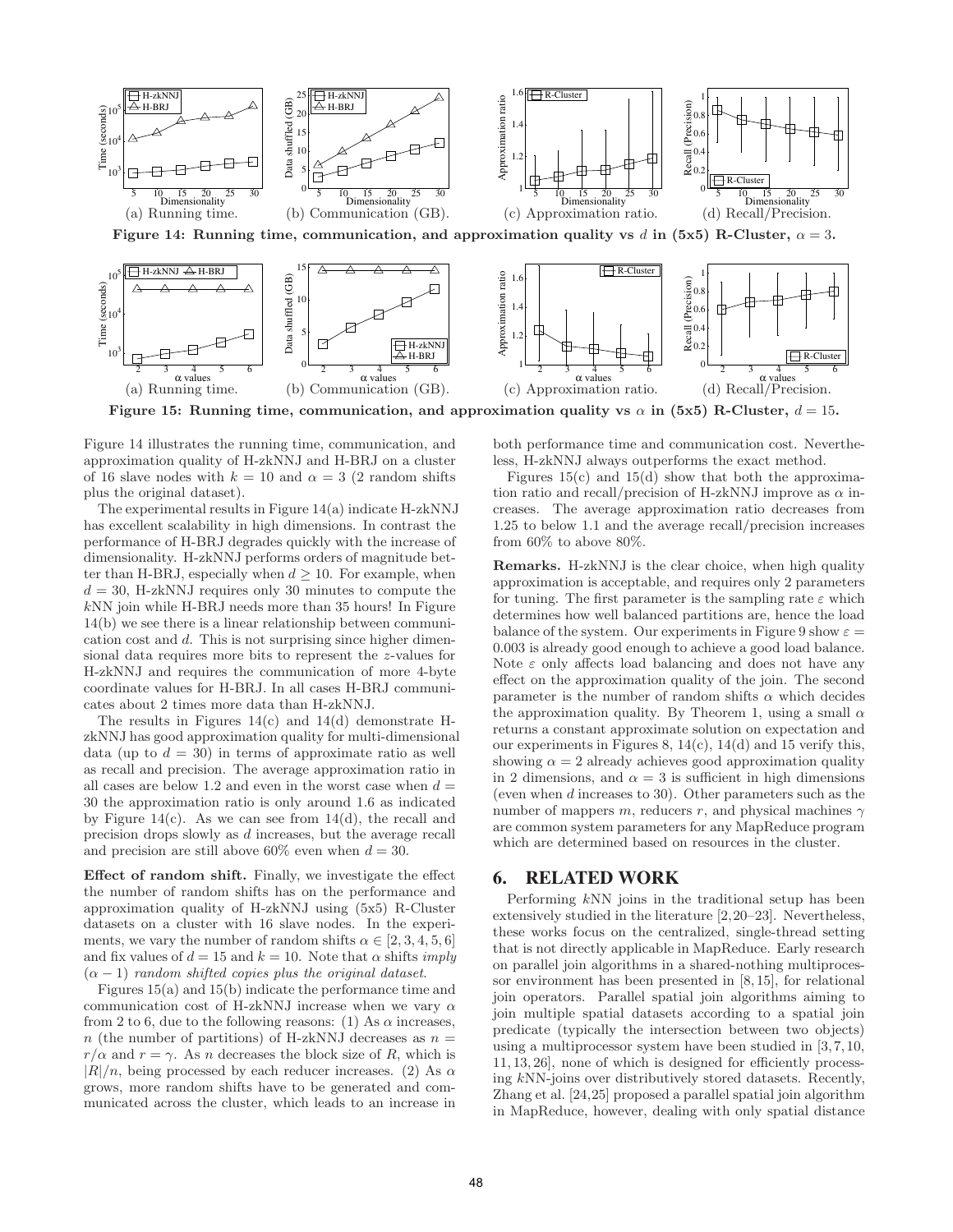

(a) Running time. (b) Communication (GB). (c) Approximation ratio. (d) Recall/Precision.

Figure 15: Running time, communication, and approximation quality vs  $\alpha$  in (5x5) R-Cluster,  $d = 15$ .

Figure 14 illustrates the running time, communication, and approximation quality of H-zkNNJ and H-BRJ on a cluster of 16 slave nodes with  $k = 10$  and  $\alpha = 3$  (2 random shifts plus the original dataset).

The experimental results in Figure 14(a) indicate H-zkNNJ has excellent scalability in high dimensions. In contrast the performance of H-BRJ degrades quickly with the increase of dimensionality. H-zkNNJ performs orders of magnitude better than H-BRJ, especially when  $d \geq 10$ . For example, when  $d = 30$ , H-zkNNJ requires only 30 minutes to compute the kNN join while H-BRJ needs more than 35 hours! In Figure 14(b) we see there is a linear relationship between communication cost and d. This is not surprising since higher dimensional data requires more bits to represent the z-values for H-zkNNJ and requires the communication of more 4-byte coordinate values for H-BRJ. In all cases H-BRJ communicates about 2 times more data than H-zkNNJ.

The results in Figures  $14(c)$  and  $14(d)$  demonstrate HzkNNJ has good approximation quality for multi-dimensional data (up to  $d = 30$ ) in terms of approximate ratio as well as recall and precision. The average approximation ratio in all cases are below 1.2 and even in the worst case when  $d =$ 30 the approximation ratio is only around 1.6 as indicated by Figure 14(c). As we can see from  $14(d)$ , the recall and precision drops slowly as d increases, but the average recall and precision are still above 60% even when  $d = 30$ .

Effect of random shift. Finally, we investigate the effect the number of random shifts has on the performance and approximation quality of H-zkNNJ using (5x5) R-Cluster datasets on a cluster with 16 slave nodes. In the experiments, we vary the number of random shifts  $\alpha \in [2, 3, 4, 5, 6]$ and fix values of  $d = 15$  and  $k = 10$ . Note that  $\alpha$  shifts *imply*  $(\alpha - 1)$  *random shifted copies plus the original dataset.* 

Figures 15(a) and 15(b) indicate the performance time and communication cost of H-zkNNJ increase when we vary  $\alpha$ from 2 to 6, due to the following reasons: (1) As  $\alpha$  increases, n (the number of partitions) of H-zkNNJ decreases as  $n =$  $r/\alpha$  and  $r = \gamma$ . As n decreases the block size of R, which is  $|R|/n$ , being processed by each reducer increases. (2) As  $\alpha$ grows, more random shifts have to be generated and communicated across the cluster, which leads to an increase in both performance time and communication cost. Nevertheless, H-zkNNJ always outperforms the exact method.

Figures  $15(c)$  and  $15(d)$  show that both the approximation ratio and recall/precision of H-zkNNJ improve as  $\alpha$  increases. The average approximation ratio decreases from 1.25 to below 1.1 and the average recall/precision increases from 60% to above 80%.

Remarks. H-zkNNJ is the clear choice, when high quality approximation is acceptable, and requires only 2 parameters for tuning. The first parameter is the sampling rate  $\varepsilon$  which determines how well balanced partitions are, hence the load balance of the system. Our experiments in Figure 9 show  $\varepsilon =$ 0.003 is already good enough to achieve a good load balance. Note  $\varepsilon$  only affects load balancing and does not have any effect on the approximation quality of the join. The second parameter is the number of random shifts  $\alpha$  which decides the approximation quality. By Theorem 1, using a small  $\alpha$ returns a constant approximate solution on expectation and our experiments in Figures 8, 14(c), 14(d) and 15 verify this, showing  $\alpha = 2$  already achieves good approximation quality in 2 dimensions, and  $\alpha = 3$  is sufficient in high dimensions (even when d increases to 30). Other parameters such as the number of mappers m, reducers r, and physical machines  $\gamma$ are common system parameters for any MapReduce program which are determined based on resources in the cluster.

#### **6. RELATED WORK**

Performing kNN joins in the traditional setup has been extensively studied in the literature [2,20–23]. Nevertheless, these works focus on the centralized, single-thread setting that is not directly applicable in MapReduce. Early research on parallel join algorithms in a shared-nothing multiprocessor environment has been presented in [8, 15], for relational join operators. Parallel spatial join algorithms aiming to join multiple spatial datasets according to a spatial join predicate (typically the intersection between two objects) using a multiprocessor system have been studied in [3, 7, 10, 11, 13, 26], none of which is designed for efficiently processing kNN-joins over distributively stored datasets. Recently, Zhang et al. [24,25] proposed a parallel spatial join algorithm in MapReduce, however, dealing with only spatial distance